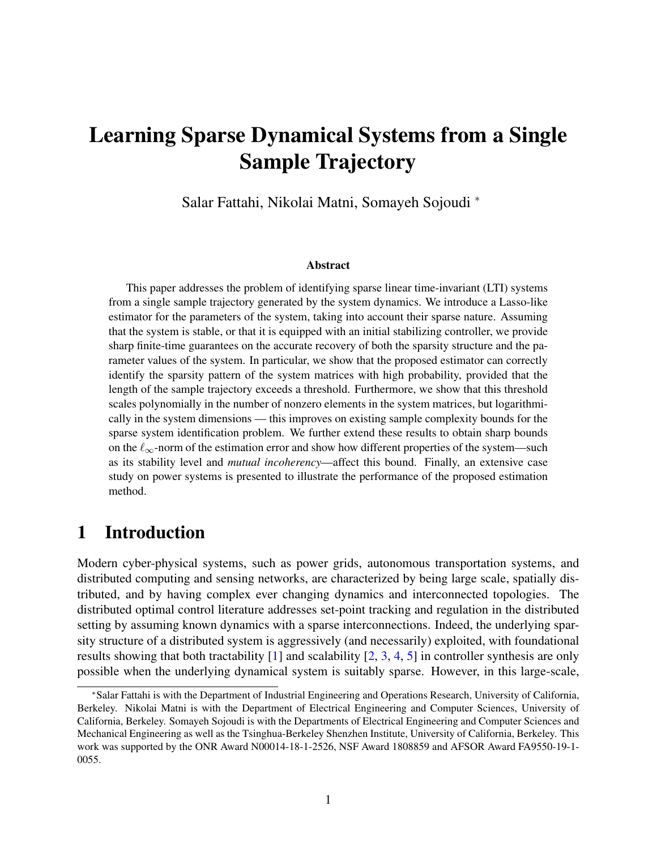# Learning Sparse Dynamical Systems from a Single Sample Trajectory

Salar Fattahi, Nikolai Matni, Somayeh Sojoudi <sup>∗</sup>

#### Abstract

This paper addresses the problem of identifying sparse linear time-invariant (LTI) systems from a single sample trajectory generated by the system dynamics. We introduce a Lasso-like estimator for the parameters of the system, taking into account their sparse nature. Assuming that the system is stable, or that it is equipped with an initial stabilizing controller, we provide sharp finite-time guarantees on the accurate recovery of both the sparsity structure and the parameter values of the system. In particular, we show that the proposed estimator can correctly identify the sparsity pattern of the system matrices with high probability, provided that the length of the sample trajectory exceeds a threshold. Furthermore, we show that this threshold scales polynomially in the number of nonzero elements in the system matrices, but logarithmically in the system dimensions — this improves on existing sample complexity bounds for the sparse system identification problem. We further extend these results to obtain sharp bounds on the  $\ell_{\infty}$ -norm of the estimation error and show how different properties of the system—such as its stability level and *mutual incoherency*—affect this bound. Finally, an extensive case study on power systems is presented to illustrate the performance of the proposed estimation method.

# 1 Introduction

Modern cyber-physical systems, such as power grids, autonomous transportation systems, and distributed computing and sensing networks, are characterized by being large scale, spatially distributed, and by having complex ever changing dynamics and interconnected topologies. The distributed optimal control literature addresses set-point tracking and regulation in the distributed setting by assuming known dynamics with a sparse interconnections. Indeed, the underlying sparsity structure of a distributed system is aggressively (and necessarily) exploited, with foundational results showing that both tractability  $[1]$  and scalability  $[2, 3, 4, 5]$  $[2, 3, 4, 5]$  $[2, 3, 4, 5]$  $[2, 3, 4, 5]$  $[2, 3, 4, 5]$  $[2, 3, 4, 5]$  $[2, 3, 4, 5]$  in controller synthesis are only possible when the underlying dynamical system is suitably sparse. However, in this large-scale,

<sup>∗</sup>Salar Fattahi is with the Department of Industrial Engineering and Operations Research, University of California, Berkeley. Nikolai Matni is with the Department of Electrical Engineering and Computer Sciences, University of California, Berkeley. Somayeh Sojoudi is with the Departments of Electrical Engineering and Computer Sciences and Mechanical Engineering as well as the Tsinghua-Berkeley Shenzhen Institute, University of California, Berkeley. This work was supported by the ONR Award N00014-18-1-2526, NSF Award 1808859 and AFSOR Award FA9550-19-1- 0055.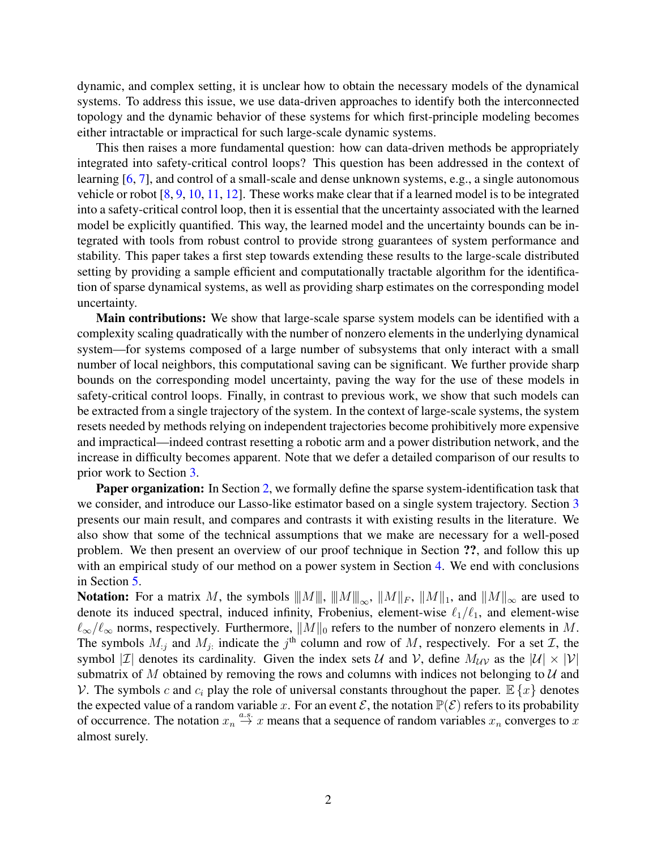dynamic, and complex setting, it is unclear how to obtain the necessary models of the dynamical systems. To address this issue, we use data-driven approaches to identify both the interconnected topology and the dynamic behavior of these systems for which first-principle modeling becomes either intractable or impractical for such large-scale dynamic systems.

This then raises a more fundamental question: how can data-driven methods be appropriately integrated into safety-critical control loops? This question has been addressed in the context of learning [\[6,](#page-12-1) [7\]](#page-12-2), and control of a small-scale and dense unknown systems, e.g., a single autonomous vehicle or robot [\[8,](#page-12-3) [9,](#page-12-4) [10,](#page-12-5) [11,](#page-12-6) [12\]](#page-12-7). These works make clear that if a learned model is to be integrated into a safety-critical control loop, then it is essential that the uncertainty associated with the learned model be explicitly quantified. This way, the learned model and the uncertainty bounds can be integrated with tools from robust control to provide strong guarantees of system performance and stability. This paper takes a first step towards extending these results to the large-scale distributed setting by providing a sample efficient and computationally tractable algorithm for the identification of sparse dynamical systems, as well as providing sharp estimates on the corresponding model uncertainty.

Main contributions: We show that large-scale sparse system models can be identified with a complexity scaling quadratically with the number of nonzero elements in the underlying dynamical system—for systems composed of a large number of subsystems that only interact with a small number of local neighbors, this computational saving can be significant. We further provide sharp bounds on the corresponding model uncertainty, paving the way for the use of these models in safety-critical control loops. Finally, in contrast to previous work, we show that such models can be extracted from a single trajectory of the system. In the context of large-scale systems, the system resets needed by methods relying on independent trajectories become prohibitively more expensive and impractical—indeed contrast resetting a robotic arm and a power distribution network, and the increase in difficulty becomes apparent. Note that we defer a detailed comparison of our results to prior work to Section [3.](#page-4-0)

Paper organization: In Section [2,](#page-2-0) we formally define the sparse system-identification task that we consider, and introduce our Lasso-like estimator based on a single system trajectory. Section [3](#page-4-0) presents our main result, and compares and contrasts it with existing results in the literature. We also show that some of the technical assumptions that we make are necessary for a well-posed problem. We then present an overview of our proof technique in Section ??, and follow this up with an empirical study of our method on a power system in Section [4.](#page-9-0) We end with conclusions in Section [5.](#page-11-4)

**Notation:** For a matrix M, the symbols  $||M||$ ,  $||M||_{\infty}$ ,  $||M||_F$ ,  $||M||_1$ , and  $||M||_{\infty}$  are used to denote its induced spectral, induced infinity, Frobenius, element-wise  $\ell_1/\ell_1$ , and element-wise  $\ell_{\infty}/\ell_{\infty}$  norms, respectively. Furthermore,  $||M||_0$  refers to the number of nonzero elements in M. The symbols  $M_{ij}$  and  $M_{ji}$  indicate the  $j^{\text{th}}$  column and row of M, respectively. For a set  $\mathcal{I}$ , the symbol |*I*| denotes its cardinality. Given the index sets *U* and *V*, define  $M_{UV}$  as the  $|U| \times |V|$ submatrix of M obtained by removing the rows and columns with indices not belonging to  $U$  and V. The symbols c and  $c_i$  play the role of universal constants throughout the paper.  $\mathbb{E}\{x\}$  denotes the expected value of a random variable x. For an event  $\mathcal{E}$ , the notation  $\mathbb{P}(\mathcal{E})$  refers to its probability of occurrence. The notation  $x_n \stackrel{a.s.}{\rightarrow} x$  means that a sequence of random variables  $x_n$  converges to x almost surely.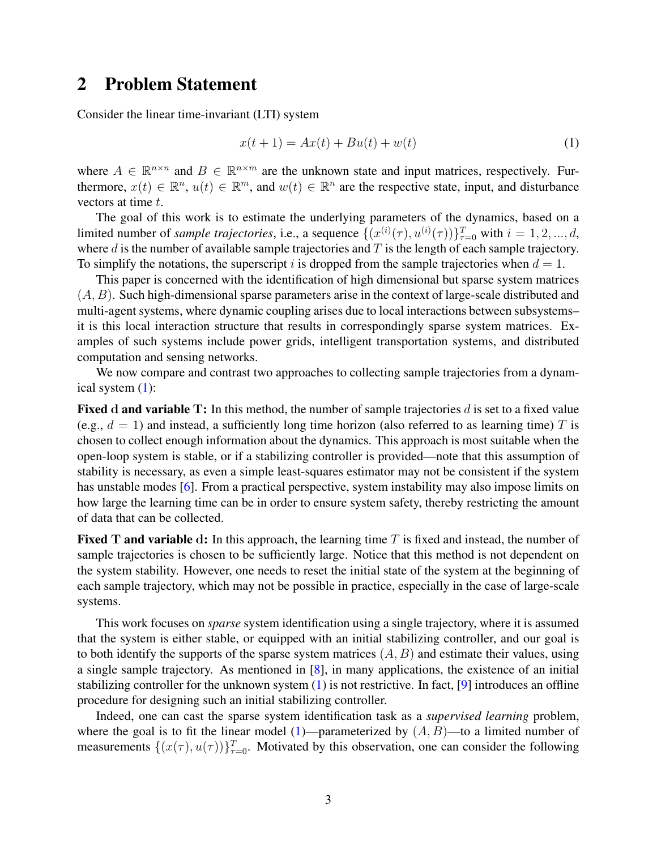### <span id="page-2-0"></span>2 Problem Statement

Consider the linear time-invariant (LTI) system

<span id="page-2-1"></span>
$$
x(t+1) = Ax(t) + Bu(t) + w(t)
$$
 (1)

where  $A \in \mathbb{R}^{n \times n}$  and  $B \in \mathbb{R}^{n \times m}$  are the unknown state and input matrices, respectively. Furthermore,  $x(t) \in \mathbb{R}^n$ ,  $u(t) \in \mathbb{R}^m$ , and  $w(t) \in \mathbb{R}^n$  are the respective state, input, and disturbance vectors at time t.

The goal of this work is to estimate the underlying parameters of the dynamics, based on a limited number of *sample trajectories*, i.e., a sequence  $\{(x^{(i)}(\tau), u^{(i)}(\tau))\}_{\tau=0}^T$  with  $i = 1, 2, ..., d$ , where  $d$  is the number of available sample trajectories and  $T$  is the length of each sample trajectory. To simplify the notations, the superscript i is dropped from the sample trajectories when  $d = 1$ .

This paper is concerned with the identification of high dimensional but sparse system matrices  $(A, B)$ . Such high-dimensional sparse parameters arise in the context of large-scale distributed and multi-agent systems, where dynamic coupling arises due to local interactions between subsystems– it is this local interaction structure that results in correspondingly sparse system matrices. Examples of such systems include power grids, intelligent transportation systems, and distributed computation and sensing networks.

We now compare and contrast two approaches to collecting sample trajectories from a dynamical system [\(1\)](#page-2-1):

**Fixed d and variable T:** In this method, the number of sample trajectories d is set to a fixed value (e.g.,  $d = 1$ ) and instead, a sufficiently long time horizon (also referred to as learning time) T is chosen to collect enough information about the dynamics. This approach is most suitable when the open-loop system is stable, or if a stabilizing controller is provided—note that this assumption of stability is necessary, as even a simple least-squares estimator may not be consistent if the system has unstable modes [\[6\]](#page-12-1). From a practical perspective, system instability may also impose limits on how large the learning time can be in order to ensure system safety, thereby restricting the amount of data that can be collected.

**Fixed T and variable d:** In this approach, the learning time T is fixed and instead, the number of sample trajectories is chosen to be sufficiently large. Notice that this method is not dependent on the system stability. However, one needs to reset the initial state of the system at the beginning of each sample trajectory, which may not be possible in practice, especially in the case of large-scale systems.

This work focuses on *sparse* system identification using a single trajectory, where it is assumed that the system is either stable, or equipped with an initial stabilizing controller, and our goal is to both identify the supports of the sparse system matrices  $(A, B)$  and estimate their values, using a single sample trajectory. As mentioned in [\[8\]](#page-12-3), in many applications, the existence of an initial stabilizing controller for the unknown system  $(1)$  is not restrictive. In fact,  $[9]$  introduces an offline procedure for designing such an initial stabilizing controller.

Indeed, one can cast the sparse system identification task as a *supervised learning* problem, where the goal is to fit the linear model [\(1\)](#page-2-1)—parameterized by  $(A, B)$ —to a limited number of measurements  $\{(x(\tau), u(\tau))\}_{\tau=0}^T$ . Motivated by this observation, one can consider the following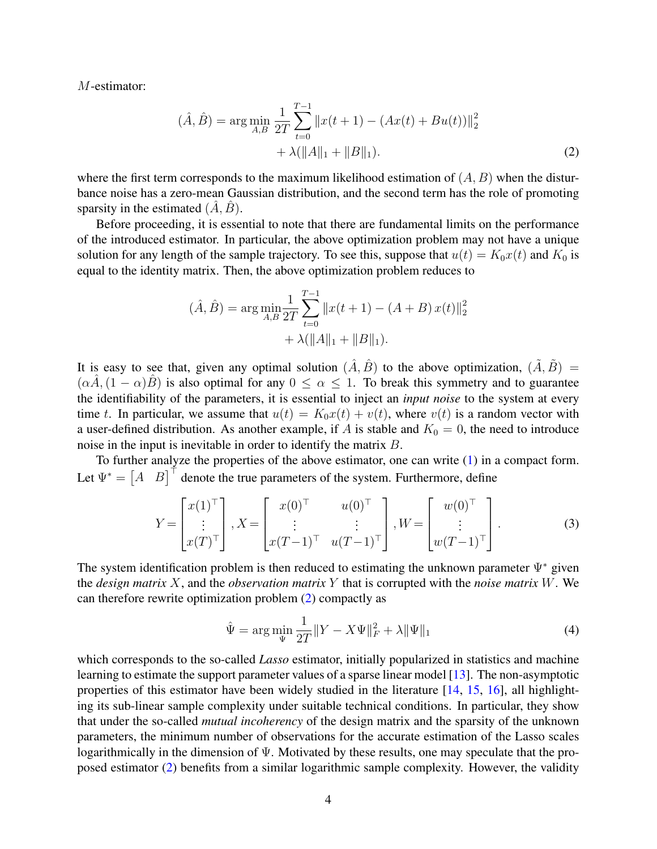M-estimator:

<span id="page-3-0"></span>
$$
(\hat{A}, \hat{B}) = \arg\min_{A, B} \frac{1}{2T} \sum_{t=0}^{T-1} ||x(t+1) - (Ax(t) + Bu(t))||_2^2
$$
  
+  $\lambda (||A||_1 + ||B||_1).$  (2)

where the first term corresponds to the maximum likelihood estimation of  $(A, B)$  when the disturbance noise has a zero-mean Gaussian distribution, and the second term has the role of promoting sparsity in the estimated  $(\hat{A}, \hat{B})$ .

Before proceeding, it is essential to note that there are fundamental limits on the performance of the introduced estimator. In particular, the above optimization problem may not have a unique solution for any length of the sample trajectory. To see this, suppose that  $u(t) = K_0x(t)$  and  $K_0$  is equal to the identity matrix. Then, the above optimization problem reduces to

$$
(\hat{A}, \hat{B}) = \arg \min_{A, B} \frac{1}{2T} \sum_{t=0}^{T-1} ||x(t+1) - (A+B)x(t)||_2^2
$$

$$
+ \lambda (||A||_1 + ||B||_1).
$$

It is easy to see that, given any optimal solution  $(\hat{A}, \hat{B})$  to the above optimization,  $(\tilde{A}, \tilde{B}) =$  $(\alpha \hat{A}, (1 - \alpha) \hat{B})$  is also optimal for any  $0 \leq \alpha \leq 1$ . To break this symmetry and to guarantee the identifiability of the parameters, it is essential to inject an *input noise* to the system at every time t. In particular, we assume that  $u(t) = K_0x(t) + v(t)$ , where  $v(t)$  is a random vector with a user-defined distribution. As another example, if A is stable and  $K_0 = 0$ , the need to introduce noise in the input is inevitable in order to identify the matrix B.

To further analyze the properties of the above estimator, one can write [\(1\)](#page-2-1) in a compact form. Let  $\Psi^* = \begin{bmatrix} A & B \end{bmatrix}^\top$  denote the true parameters of the system. Furthermore, define

$$
Y = \begin{bmatrix} x(1)^{\top} \\ \vdots \\ x(T)^{\top} \end{bmatrix}, X = \begin{bmatrix} x(0)^{\top} & u(0)^{\top} \\ \vdots & \vdots \\ x(T-1)^{\top} & u(T-1)^{\top} \end{bmatrix}, W = \begin{bmatrix} w(0)^{\top} \\ \vdots \\ w(T-1)^{\top} \end{bmatrix}.
$$
 (3)

The system identification problem is then reduced to estimating the unknown parameter  $\Psi^*$  given the *design matrix* X, and the *observation matrix* Y that is corrupted with the *noise matrix* W. We can therefore rewrite optimization problem [\(2\)](#page-3-0) compactly as

<span id="page-3-1"></span>
$$
\hat{\Psi} = \arg\min_{\Psi} \frac{1}{2T} \|Y - X\Psi\|_{F}^{2} + \lambda \|\Psi\|_{1}
$$
\n(4)

which corresponds to the so-called *Lasso* estimator, initially popularized in statistics and machine learning to estimate the support parameter values of a sparse linear model [\[13\]](#page-12-8). The non-asymptotic properties of this estimator have been widely studied in the literature [\[14,](#page-12-9) [15,](#page-12-10) [16\]](#page-12-11), all highlighting its sub-linear sample complexity under suitable technical conditions. In particular, they show that under the so-called *mutual incoherency* of the design matrix and the sparsity of the unknown parameters, the minimum number of observations for the accurate estimation of the Lasso scales logarithmically in the dimension of Ψ. Motivated by these results, one may speculate that the proposed estimator [\(2\)](#page-3-0) benefits from a similar logarithmic sample complexity. However, the validity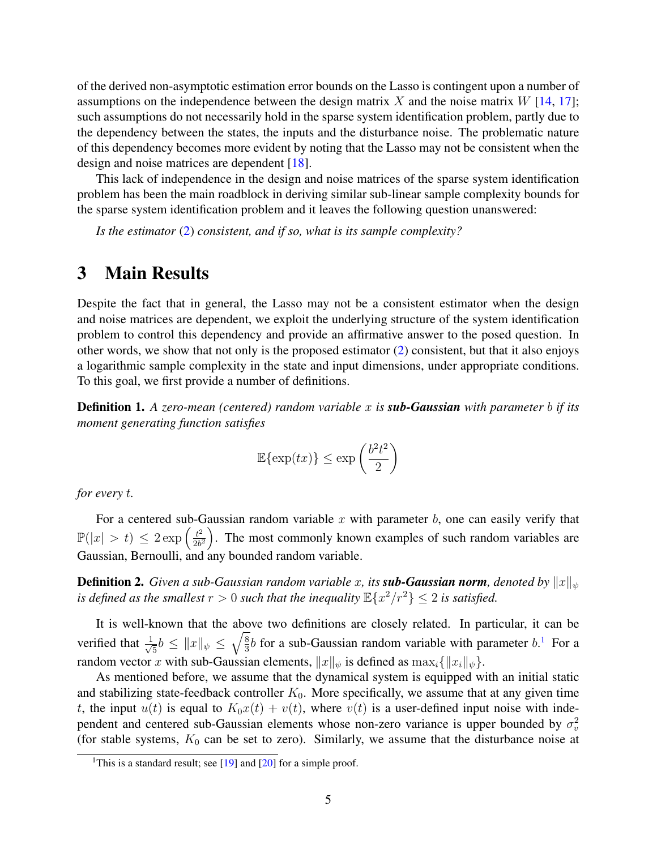of the derived non-asymptotic estimation error bounds on the Lasso is contingent upon a number of assumptions on the independence between the design matrix X and the noise matrix  $W$  [\[14,](#page-12-9) [17\]](#page-12-12); such assumptions do not necessarily hold in the sparse system identification problem, partly due to the dependency between the states, the inputs and the disturbance noise. The problematic nature of this dependency becomes more evident by noting that the Lasso may not be consistent when the design and noise matrices are dependent [\[18\]](#page-12-13).

This lack of independence in the design and noise matrices of the sparse system identification problem has been the main roadblock in deriving similar sub-linear sample complexity bounds for the sparse system identification problem and it leaves the following question unanswered:

*Is the estimator* [\(2\)](#page-3-0) *consistent, and if so, what is its sample complexity?*

# <span id="page-4-0"></span>3 Main Results

Despite the fact that in general, the Lasso may not be a consistent estimator when the design and noise matrices are dependent, we exploit the underlying structure of the system identification problem to control this dependency and provide an affirmative answer to the posed question. In other words, we show that not only is the proposed estimator [\(2\)](#page-3-0) consistent, but that it also enjoys a logarithmic sample complexity in the state and input dimensions, under appropriate conditions. To this goal, we first provide a number of definitions.

Definition 1. *A zero-mean (centered) random variable* x *is sub-Gaussian with parameter* b *if its moment generating function satisfies*

$$
\mathbb{E}\{\exp(tx)\} \le \exp\left(\frac{b^2t^2}{2}\right)
$$

*for every* t*.*

For a centered sub-Gaussian random variable x with parameter b, one can easily verify that  $\mathbb{P}(|x| > t) \leq 2 \exp\left(\frac{t^2}{2b^2}\right)$  $\frac{t^2}{2b^2}$ . The most commonly known examples of such random variables are Gaussian, Bernoulli, and any bounded random variable.

**Definition 2.** *Given a sub-Gaussian random variable* x, its *sub-Gaussian norm*, denoted by  $||x||_v$ *is defined as the smallest*  $r > 0$  *such that the inequality*  $\mathbb{E}\{x^2/r^2\} \leq 2$  *is satisfied.* 

It is well-known that the above two definitions are closely related. In particular, it can be verified that  $\frac{1}{\sqrt{2}}$  $\frac{1}{5}b \leq ||x||_{\psi} \leq \sqrt{\frac{8}{3}}$  $\frac{8}{3}b$  for a sub-Gaussian random variable with parameter  $b$ .<sup>[1](#page-4-1)</sup> For a random vector x with sub-Gaussian elements,  $||x||_{\psi}$  is defined as  $\max_i \{||x_i||_{\psi}\}.$ 

As mentioned before, we assume that the dynamical system is equipped with an initial static and stabilizing state-feedback controller  $K_0$ . More specifically, we assume that at any given time t, the input  $u(t)$  is equal to  $K_0x(t) + v(t)$ , where  $v(t)$  is a user-defined input noise with independent and centered sub-Gaussian elements whose non-zero variance is upper bounded by  $\sigma_v^2$ (for stable systems,  $K_0$  can be set to zero). Similarly, we assume that the disturbance noise at

<span id="page-4-1"></span><sup>&</sup>lt;sup>1</sup>This is a standard result; see  $[19]$  and  $[20]$  for a simple proof.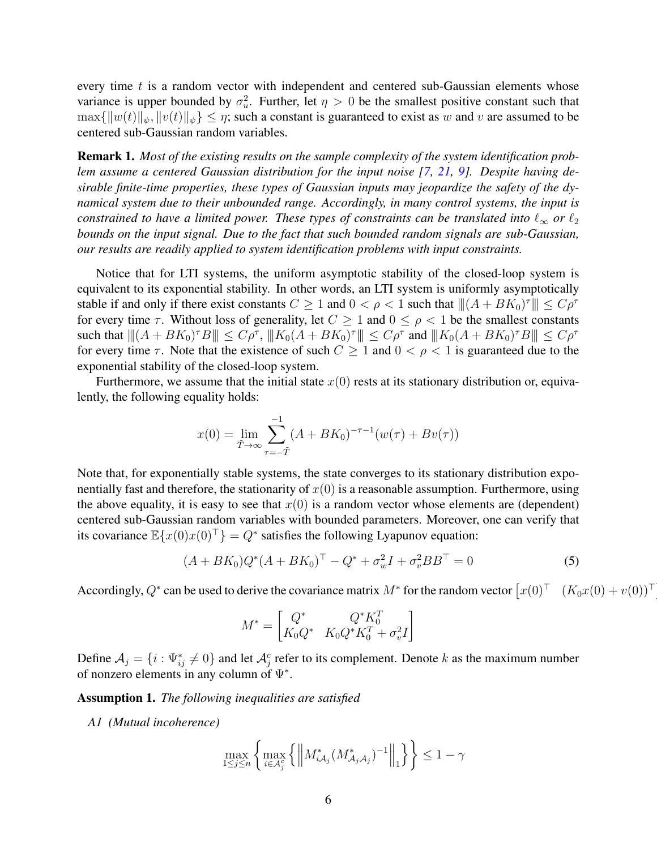every time  $t$  is a random vector with independent and centered sub-Gaussian elements whose variance is upper bounded by  $\sigma_u^2$ . Further, let  $\eta > 0$  be the smallest positive constant such that  $\max\{\|w(t)\|_{\psi}, \|v(t)\|_{\psi}\} \leq \eta$ ; such a constant is guaranteed to exist as w and v are assumed to be centered sub-Gaussian random variables.

Remark 1. *Most of the existing results on the sample complexity of the system identification problem assume a centered Gaussian distribution for the input noise [\[7,](#page-12-2) [21,](#page-13-1) [9\]](#page-12-4). Despite having desirable finite-time properties, these types of Gaussian inputs may jeopardize the safety of the dynamical system due to their unbounded range. Accordingly, in many control systems, the input is constrained to have a limited power. These types of constraints can be translated into*  $\ell_{\infty}$  *or*  $\ell_2$ *bounds on the input signal. Due to the fact that such bounded random signals are sub-Gaussian, our results are readily applied to system identification problems with input constraints.*

Notice that for LTI systems, the uniform asymptotic stability of the closed-loop system is equivalent to its exponential stability. In other words, an LTI system is uniformly asymptotically stable if and only if there exist constants  $C \geq 1$  and  $0 < \rho < 1$  such that  $|||(A + BK_0)^{\tau}||| \leq C\rho^{\tau}$ for every time  $\tau$ . Without loss of generality, let  $C \geq 1$  and  $0 \leq \rho < 1$  be the smallest constants such that  $||(A + BK_0)^{\tau}B|| \le C\rho^{\tau}$ ,  $||K_0(A + BK_0)^{\tau}|| \le C\rho^{\tau}$  and  $||K_0(A + BK_0)^{\tau}B|| \le C\rho^{\tau}$ for every time  $\tau$ . Note that the existence of such  $C \geq 1$  and  $0 < \rho < 1$  is guaranteed due to the exponential stability of the closed-loop system.

Furthermore, we assume that the initial state  $x(0)$  rests at its stationary distribution or, equivalently, the following equality holds:

$$
x(0) = \lim_{\tilde{T} \to \infty} \sum_{\tau = -\tilde{T}}^{-1} (A + BK_0)^{-\tau - 1} (w(\tau) + Bv(\tau))
$$

Note that, for exponentially stable systems, the state converges to its stationary distribution exponentially fast and therefore, the stationarity of  $x(0)$  is a reasonable assumption. Furthermore, using the above equality, it is easy to see that  $x(0)$  is a random vector whose elements are (dependent) centered sub-Gaussian random variables with bounded parameters. Moreover, one can verify that its covariance  $\mathbb{E}\{x(0)x(0)^{\top}\}=Q^*$  satisfies the following Lyapunov equation:

$$
(A + BK_0)Q^*(A + BK_0)^\top - Q^* + \sigma_w^2 I + \sigma_v^2 BB^\top = 0
$$
\n(5)

·<br>∴

Accordingly,  $Q^*$  can be used to derive the covariance matrix  $M^*$  for the random vector  $[x(0)^{\top}$   $(K_0x(0) + v(0))^{\top}$ 

<span id="page-5-0"></span>
$$
M^* = \begin{bmatrix} Q^* & Q^* K_0^T \\ K_0 Q^* & K_0 Q^* K_0^T + \sigma_v^2 I \end{bmatrix}
$$

Define  $A_j = \{i : \Psi_{ij}^* \neq 0\}$  and let  $\mathcal{A}_j^c$  refer to its complement. Denote k as the maximum number of nonzero elements in any column of  $\Psi^*$ .

Assumption 1. *The following inequalities are satisfied*

*A1 (Mutual incoherence)*

$$
\max_{1 \le j \le n} \left\{ \max_{i \in \mathcal{A}_j^c} \left\{ \left\| M^*_{i\mathcal{A}_j} (M^*_{\mathcal{A}_j \mathcal{A}_j})^{-1} \right\|_1 \right\} \right\} \le 1 - \gamma
$$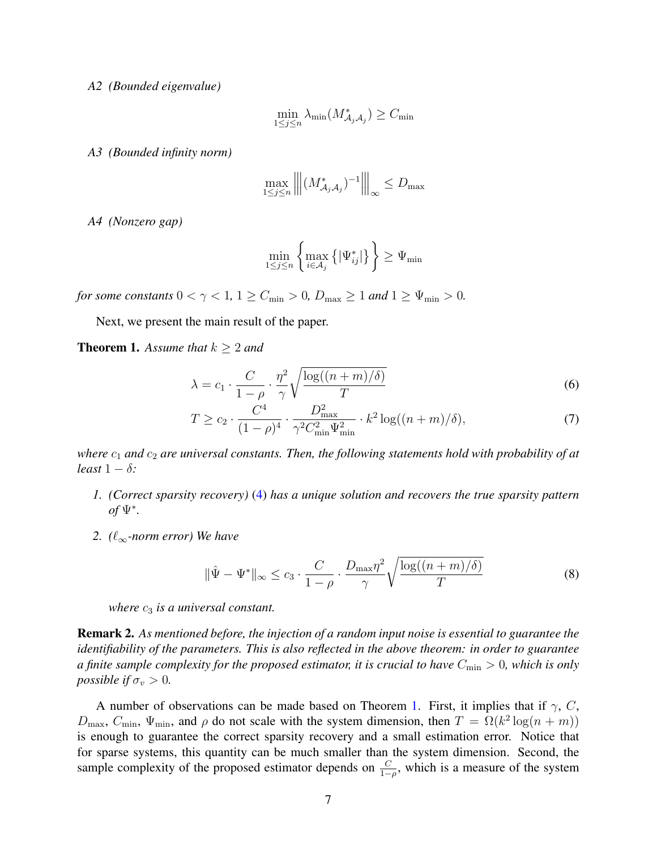*A2 (Bounded eigenvalue)*

$$
\min_{1 \le j \le n} \lambda_{\min}(M^*_{\mathcal{A}_j \mathcal{A}_j}) \ge C_{\min}
$$

*A3 (Bounded infinity norm)*

$$
\max_{1 \le j \le n} \left\| \left( M_{\mathcal{A}_j \mathcal{A}_j}^* \right)^{-1} \right\|_{\infty} \le D_{\max}
$$

*A4 (Nonzero gap)*

$$
\min_{1 \le j \le n} \left\{ \max_{i \in \mathcal{A}_j} \left\{ |\Psi^*_{ij}| \right\} \right\} \ge \Psi_{\min}
$$

*for some constants*  $0 < \gamma < 1$ ,  $1 \ge C_{\min} > 0$ ,  $D_{\max} \ge 1$  *and*  $1 \ge \Psi_{\min} > 0$ .

Next, we present the main result of the paper.

<span id="page-6-0"></span>**Theorem 1.** Assume that  $k \geq 2$  and

$$
\lambda = c_1 \cdot \frac{C}{1 - \rho} \cdot \frac{\eta^2}{\gamma} \sqrt{\frac{\log((n+m)/\delta)}{T}}
$$
(6)

$$
T \ge c_2 \cdot \frac{C^4}{(1 - \rho)^4} \cdot \frac{D_{\text{max}}^2}{\gamma^2 C_{\text{min}}^2 \Psi_{\text{min}}^2} \cdot k^2 \log((n + m)/\delta),\tag{7}
$$

*where*  $c_1$  *and*  $c_2$  *are universal constants. Then, the following statements hold with probability of at least*  $1 - \delta$ *:* 

- *1. (Correct sparsity recovery)* [\(4\)](#page-3-1) *has a unique solution and recovers the true sparsity pattern of* Ψ<sup>∗</sup> *.*
- *2.*  $(\ell_{\infty}$ -norm error) We have

$$
\|\hat{\Psi} - \Psi^*\|_{\infty} \le c_3 \cdot \frac{C}{1 - \rho} \cdot \frac{D_{\text{max}} \eta^2}{\gamma} \sqrt{\frac{\log((n+m)/\delta)}{T}}
$$
(8)

*where*  $c_3$  *is a universal constant.* 

Remark 2. *As mentioned before, the injection of a random input noise is essential to guarantee the identifiability of the parameters. This is also reflected in the above theorem: in order to guarantee a finite sample complexity for the proposed estimator, it is crucial to have*  $C_{\text{min}} > 0$ *, which is only possible if*  $\sigma_v > 0$ *.* 

A number of observations can be made based on Theorem [1.](#page-6-0) First, it implies that if  $\gamma$ , C,  $D_{\text{max}}$ ,  $C_{\text{min}}$ ,  $\Psi_{\text{min}}$ , and  $\rho$  do not scale with the system dimension, then  $T = \Omega(k^2 \log(n + m))$ is enough to guarantee the correct sparsity recovery and a small estimation error. Notice that for sparse systems, this quantity can be much smaller than the system dimension. Second, the sample complexity of the proposed estimator depends on  $\frac{C}{1-\rho}$ , which is a measure of the system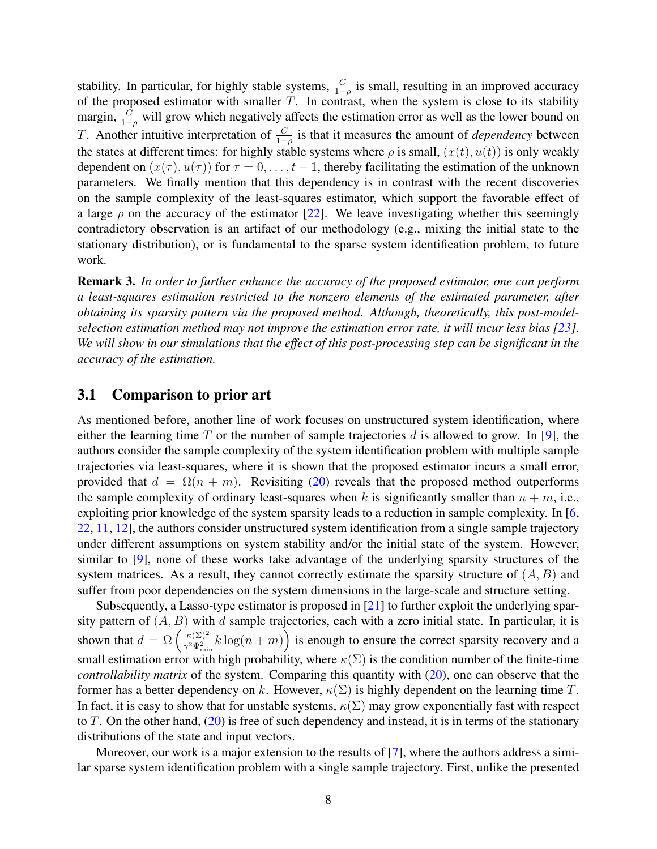stability. In particular, for highly stable systems,  $\frac{C}{1-\rho}$  is small, resulting in an improved accuracy of the proposed estimator with smaller  $T$ . In contrast, when the system is close to its stability margin,  $\frac{C}{1-\rho}$  will grow which negatively affects the estimation error as well as the lower bound on T. Another intuitive interpretation of  $\frac{C}{1-\rho}$  is that it measures the amount of *dependency* between the states at different times: for highly stable systems where  $\rho$  is small,  $(x(t), u(t))$  is only weakly dependent on  $(x(\tau), u(\tau))$  for  $\tau = 0, \ldots, t-1$ , thereby facilitating the estimation of the unknown parameters. We finally mention that this dependency is in contrast with the recent discoveries on the sample complexity of the least-squares estimator, which support the favorable effect of a large  $\rho$  on the accuracy of the estimator [\[22\]](#page-13-2). We leave investigating whether this seemingly contradictory observation is an artifact of our methodology (e.g., mixing the initial state to the stationary distribution), or is fundamental to the sparse system identification problem, to future work.

Remark 3. *In order to further enhance the accuracy of the proposed estimator, one can perform a least-squares estimation restricted to the nonzero elements of the estimated parameter, after obtaining its sparsity pattern via the proposed method. Although, theoretically, this post-modelselection estimation method may not improve the estimation error rate, it will incur less bias [\[23\]](#page-13-3). We will show in our simulations that the effect of this post-processing step can be significant in the accuracy of the estimation.*

#### 3.1 Comparison to prior art

As mentioned before, another line of work focuses on unstructured system identification, where either the learning time  $T$  or the number of sample trajectories  $d$  is allowed to grow. In [\[9\]](#page-12-4), the authors consider the sample complexity of the system identification problem with multiple sample trajectories via least-squares, where it is shown that the proposed estimator incurs a small error, provided that  $d = \Omega(n + m)$ . Revisiting [\(20\)](#page-16-0) reveals that the proposed method outperforms the sample complexity of ordinary least-squares when k is significantly smaller than  $n + m$ , i.e., exploiting prior knowledge of the system sparsity leads to a reduction in sample complexity. In [\[6,](#page-12-1) [22,](#page-13-2) [11,](#page-12-6) [12\]](#page-12-7), the authors consider unstructured system identification from a single sample trajectory under different assumptions on system stability and/or the initial state of the system. However, similar to [\[9\]](#page-12-4), none of these works take advantage of the underlying sparsity structures of the system matrices. As a result, they cannot correctly estimate the sparsity structure of  $(A, B)$  and suffer from poor dependencies on the system dimensions in the large-scale and structure setting.

Subsequently, a Lasso-type estimator is proposed in [\[21\]](#page-13-1) to further exploit the underlying sparsity pattern of  $(A, B)$  with d sample trajectories, each with a zero initial state. In particular, it is shown that  $d = \Omega \left( \frac{\kappa(\Sigma)^2}{\gamma^2 \Psi^2} \right)$  $\frac{\kappa(\Sigma)^2}{\gamma^2 \Psi_{\min}^2} k \log(n+m)$  is enough to ensure the correct sparsity recovery and a small estimation error with high probability, where  $\kappa(\Sigma)$  is the condition number of the finite-time *controllability matrix* of the system. Comparing this quantity with [\(20\)](#page-16-0), one can observe that the former has a better dependency on k. However,  $\kappa(\Sigma)$  is highly dependent on the learning time T. In fact, it is easy to show that for unstable systems,  $\kappa(\Sigma)$  may grow exponentially fast with respect to T. On the other hand,  $(20)$  is free of such dependency and instead, it is in terms of the stationary distributions of the state and input vectors.

Moreover, our work is a major extension to the results of [\[7\]](#page-12-2), where the authors address a similar sparse system identification problem with a single sample trajectory. First, unlike the presented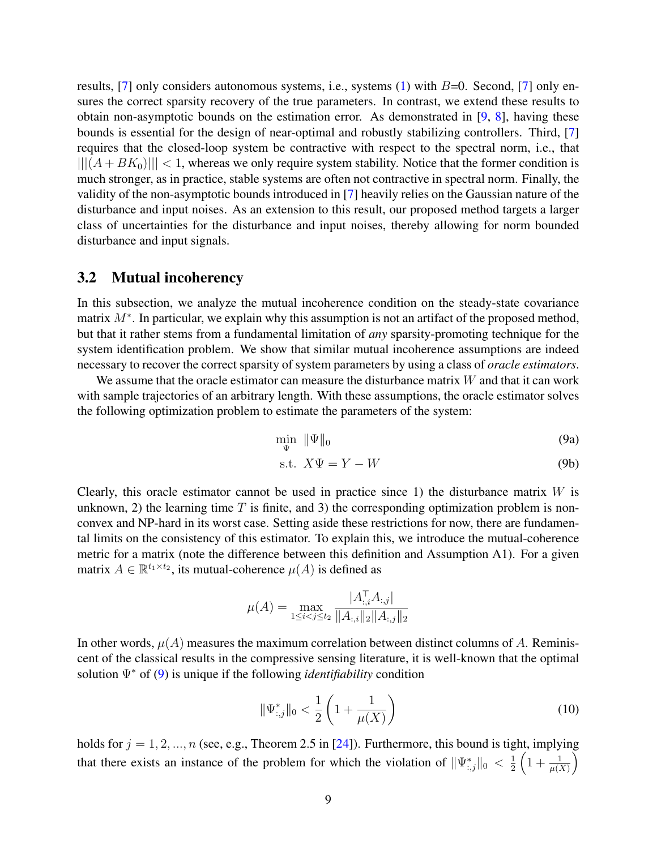results, [\[7\]](#page-12-2) only considers autonomous systems, i.e., systems  $(1)$  with  $B=0$ . Second, [7] only ensures the correct sparsity recovery of the true parameters. In contrast, we extend these results to obtain non-asymptotic bounds on the estimation error. As demonstrated in  $[9, 8]$  $[9, 8]$  $[9, 8]$ , having these bounds is essential for the design of near-optimal and robustly stabilizing controllers. Third, [\[7\]](#page-12-2) requires that the closed-loop system be contractive with respect to the spectral norm, i.e., that  $|||(A+BK_0)||| < 1$ , whereas we only require system stability. Notice that the former condition is much stronger, as in practice, stable systems are often not contractive in spectral norm. Finally, the validity of the non-asymptotic bounds introduced in [\[7\]](#page-12-2) heavily relies on the Gaussian nature of the disturbance and input noises. As an extension to this result, our proposed method targets a larger class of uncertainties for the disturbance and input noises, thereby allowing for norm bounded disturbance and input signals.

#### 3.2 Mutual incoherency

In this subsection, we analyze the mutual incoherence condition on the steady-state covariance matrix  $M^*$ . In particular, we explain why this assumption is not an artifact of the proposed method, but that it rather stems from a fundamental limitation of *any* sparsity-promoting technique for the system identification problem. We show that similar mutual incoherence assumptions are indeed necessary to recover the correct sparsity of system parameters by using a class of *oracle estimators*.

We assume that the oracle estimator can measure the disturbance matrix  $W$  and that it can work with sample trajectories of an arbitrary length. With these assumptions, the oracle estimator solves the following optimization problem to estimate the parameters of the system:

<span id="page-8-0"></span>
$$
\min_{\Psi} \ \|\Psi\|_{0} \tag{9a}
$$

$$
s.t. \; X\Psi = Y - W \tag{9b}
$$

Clearly, this oracle estimator cannot be used in practice since 1) the disturbance matrix  $W$  is unknown, 2) the learning time  $T$  is finite, and 3) the corresponding optimization problem is nonconvex and NP-hard in its worst case. Setting aside these restrictions for now, there are fundamental limits on the consistency of this estimator. To explain this, we introduce the mutual-coherence metric for a matrix (note the difference between this definition and Assumption A1). For a given matrix  $A \in \mathbb{R}^{t_1 \times t_2}$ , its mutual-coherence  $\mu(A)$  is defined as

$$
\mu(A) = \max_{1 \le i < j \le t_2} \frac{|A_{:,i}^\top A_{:,j}|}{\|A_{:,i}\|_2 \|A_{:,j}\|_2}
$$

In other words,  $\mu(A)$  measures the maximum correlation between distinct columns of A. Reminiscent of the classical results in the compressive sensing literature, it is well-known that the optimal solution Ψ<sup>∗</sup> of [\(9\)](#page-8-0) is unique if the following *identifiability* condition

$$
\|\Psi_{:,j}^*\|_0 < \frac{1}{2} \left( 1 + \frac{1}{\mu(X)} \right) \tag{10}
$$

holds for  $j = 1, 2, ..., n$  (see, e.g., Theorem 2.5 in [\[24\]](#page-13-4)). Furthermore, this bound is tight, implying that there exists an instance of the problem for which the violation of  $\|\Psi_{:,j}^*\|_0 < \frac{1}{2}$  $\frac{1}{2}\left(1+\frac{1}{\mu(X)}\right)$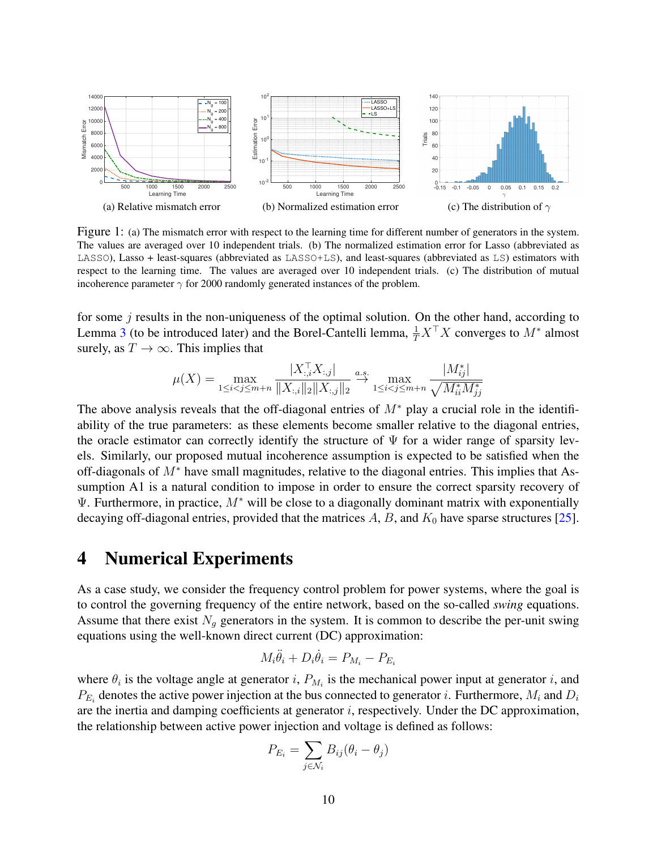<span id="page-9-1"></span>

<span id="page-9-2"></span>Figure 1: (a) The mismatch error with respect to the learning time for different number of generators in the system. The values are averaged over 10 independent trials. (b) The normalized estimation error for Lasso (abbreviated as LASSO), Lasso + least-squares (abbreviated as LASSO+LS), and least-squares (abbreviated as LS) estimators with respect to the learning time. The values are averaged over 10 independent trials. (c) The distribution of mutual incoherence parameter  $\gamma$  for 2000 randomly generated instances of the problem.

for some  $j$  results in the non-uniqueness of the optimal solution. On the other hand, according to Lemma [3](#page-15-0) (to be introduced later) and the Borel-Cantelli lemma,  $\frac{1}{T}X^{\top}X$  converges to  $M^*$  almost surely, as  $T \to \infty$ . This implies that

<span id="page-9-3"></span>
$$
\mu(X) = \max_{1 \le i < j \le m+n} \frac{|X_{:,i}^\top X_{:,j}|}{\|X_{:,i}\|_2 \|X_{:,j}\|_2} \xrightarrow{a.s.} \max_{1 \le i < j \le m+n} \frac{|M_{ij}^*|}{\sqrt{M_{ii}^* M_{jj}^*}}
$$

The above analysis reveals that the off-diagonal entries of  $M^*$  play a crucial role in the identifiability of the true parameters: as these elements become smaller relative to the diagonal entries, the oracle estimator can correctly identify the structure of  $\Psi$  for a wider range of sparsity levels. Similarly, our proposed mutual incoherence assumption is expected to be satisfied when the off-diagonals of M<sup>∗</sup> have small magnitudes, relative to the diagonal entries. This implies that Assumption A1 is a natural condition to impose in order to ensure the correct sparsity recovery of  $\Psi$ . Furthermore, in practice,  $M^*$  will be close to a diagonally dominant matrix with exponentially decaying off-diagonal entries, provided that the matrices  $A$ ,  $B$ , and  $K_0$  have sparse structures [\[25\]](#page-13-5).

#### <span id="page-9-0"></span>4 Numerical Experiments

As a case study, we consider the frequency control problem for power systems, where the goal is to control the governing frequency of the entire network, based on the so-called *swing* equations. Assume that there exist  $N_q$  generators in the system. It is common to describe the per-unit swing equations using the well-known direct current (DC) approximation:

$$
M_i \ddot{\theta}_i + D_i \dot{\theta}_i = P_{M_i} - P_{E_i}
$$

where  $\theta_i$  is the voltage angle at generator i,  $P_{M_i}$  is the mechanical power input at generator i, and  $P_{E_i}$  denotes the active power injection at the bus connected to generator *i*. Furthermore,  $M_i$  and  $D_i$ are the inertia and damping coefficients at generator *i*, respectively. Under the DC approximation, the relationship between active power injection and voltage is defined as follows:

$$
P_{E_i} = \sum_{j \in \mathcal{N}_i} B_{ij} (\theta_i - \theta_j)
$$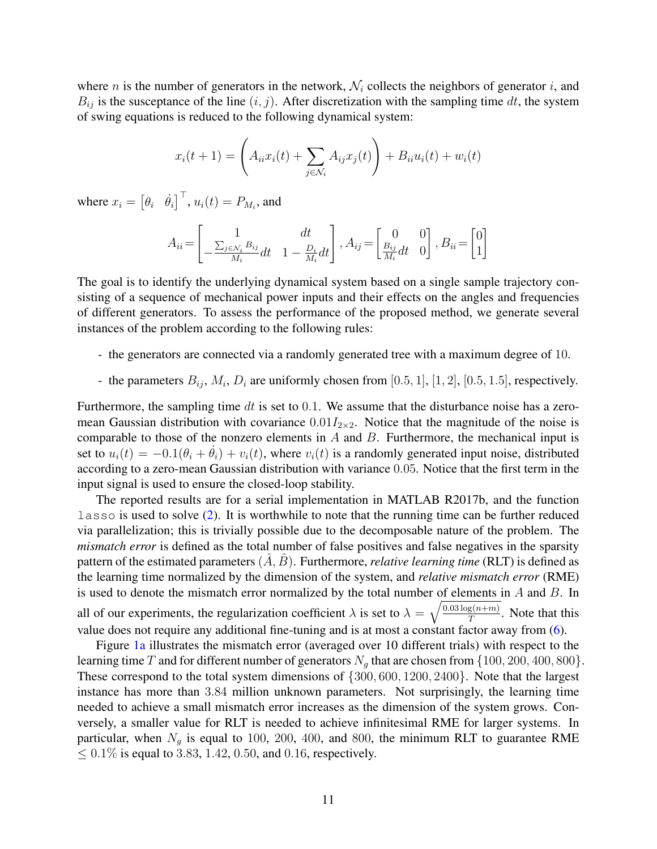where *n* is the number of generators in the network,  $\mathcal{N}_i$  collects the neighbors of generator *i*, and  $B_{ij}$  is the susceptance of the line  $(i, j)$ . After discretization with the sampling time dt, the system of swing equations is reduced to the following dynamical system:

$$
x_i(t+1) = \left(A_{ii}x_i(t) + \sum_{j \in \mathcal{N}_i} A_{ij}x_j(t)\right) + B_{ii}u_i(t) + w_i(t)
$$

where  $x_i = \begin{bmatrix} \theta_i & \dot{\theta}_i \end{bmatrix}^\top$ ,  $u_i(t) = P_{M_i}$ , and

$$
A_{ii} = \begin{bmatrix} 1 & dt \\ -\frac{\sum_{j \in \mathcal{N}_i} B_{ij}}{M_i} dt & 1 - \frac{D_i}{M_i} dt \end{bmatrix}, A_{ij} = \begin{bmatrix} 0 & 0 \\ \frac{B_{ij}}{M_i} dt & 0 \end{bmatrix}, B_{ii} = \begin{bmatrix} 0 \\ 1 \end{bmatrix}
$$

The goal is to identify the underlying dynamical system based on a single sample trajectory consisting of a sequence of mechanical power inputs and their effects on the angles and frequencies of different generators. To assess the performance of the proposed method, we generate several instances of the problem according to the following rules:

- the generators are connected via a randomly generated tree with a maximum degree of 10.
- the parameters  $B_{ij}$ ,  $M_i$ ,  $D_i$  are uniformly chosen from [0.5, 1], [1, 2], [0.5, 1.5], respectively.

Furthermore, the sampling time dt is set to  $0.1$ . We assume that the disturbance noise has a zeromean Gaussian distribution with covariance  $0.01I_{2\times2}$ . Notice that the magnitude of the noise is comparable to those of the nonzero elements in  $A$  and  $B$ . Furthermore, the mechanical input is set to  $u_i(t) = -0.1(\theta_i + \theta_i) + v_i(t)$ , where  $v_i(t)$  is a randomly generated input noise, distributed according to a zero-mean Gaussian distribution with variance 0.05. Notice that the first term in the input signal is used to ensure the closed-loop stability.

The reported results are for a serial implementation in MATLAB R2017b, and the function lasso is used to solve [\(2\)](#page-3-0). It is worthwhile to note that the running time can be further reduced via parallelization; this is trivially possible due to the decomposable nature of the problem. The *mismatch error* is defined as the total number of false positives and false negatives in the sparsity pattern of the estimated parameters  $(A, B)$ . Furthermore, *relative learning time* (RLT) is defined as the learning time normalized by the dimension of the system, and *relative mismatch error* (RME) is used to denote the mismatch error normalized by the total number of elements in  $A$  and  $B$ . In all of our experiments, the regularization coefficient  $\lambda$  is set to  $\lambda = \sqrt{\frac{0.03 \log(n+m)}{T}}$  $\frac{g(n+m)}{T}$ . Note that this value does not require any additional fine-tuning and is at most a constant factor away from [\(6\)](#page-5-0).

Figure [1a](#page-9-1) illustrates the mismatch error (averaged over 10 different trials) with respect to the learning time T and for different number of generators  $N_q$  that are chosen from  $\{100, 200, 400, 800\}$ . These correspond to the total system dimensions of {300, 600, 1200, 2400}. Note that the largest instance has more than 3.84 million unknown parameters. Not surprisingly, the learning time needed to achieve a small mismatch error increases as the dimension of the system grows. Conversely, a smaller value for RLT is needed to achieve infinitesimal RME for larger systems. In particular, when  $N_g$  is equal to 100, 200, 400, and 800, the minimum RLT to guarantee RME ≤ 0.1% is equal to 3.83, 1.42, 0.50, and 0.16, respectively.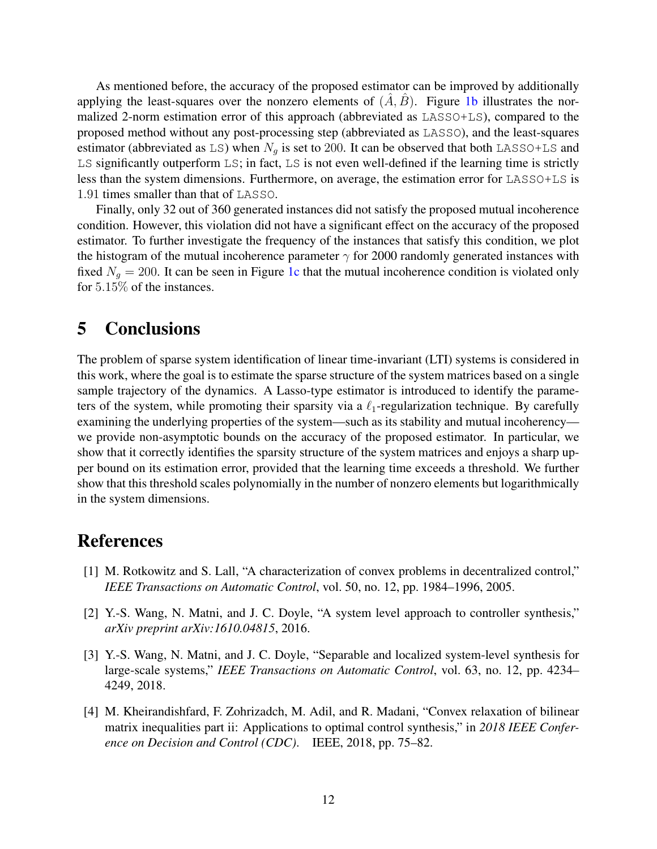As mentioned before, the accuracy of the proposed estimator can be improved by additionally applying the least-squares over the nonzero elements of  $(\overline{A}, \overline{B})$ . Figure [1b](#page-9-2) illustrates the normalized 2-norm estimation error of this approach (abbreviated as LASSO+LS), compared to the proposed method without any post-processing step (abbreviated as LASSO), and the least-squares estimator (abbreviated as LS) when  $N_a$  is set to 200. It can be observed that both LASSO+LS and LS significantly outperform LS; in fact, LS is not even well-defined if the learning time is strictly less than the system dimensions. Furthermore, on average, the estimation error for LASSO+LS is 1.91 times smaller than that of LASSO.

Finally, only 32 out of 360 generated instances did not satisfy the proposed mutual incoherence condition. However, this violation did not have a significant effect on the accuracy of the proposed estimator. To further investigate the frequency of the instances that satisfy this condition, we plot the histogram of the mutual incoherence parameter  $\gamma$  for 2000 randomly generated instances with fixed  $N_q = 200$ . It can be seen in Figure [1c](#page-9-3) that the mutual incoherence condition is violated only for 5.15% of the instances.

### <span id="page-11-4"></span>5 Conclusions

The problem of sparse system identification of linear time-invariant (LTI) systems is considered in this work, where the goal is to estimate the sparse structure of the system matrices based on a single sample trajectory of the dynamics. A Lasso-type estimator is introduced to identify the parameters of the system, while promoting their sparsity via a  $\ell_1$ -regularization technique. By carefully examining the underlying properties of the system—such as its stability and mutual incoherency we provide non-asymptotic bounds on the accuracy of the proposed estimator. In particular, we show that it correctly identifies the sparsity structure of the system matrices and enjoys a sharp upper bound on its estimation error, provided that the learning time exceeds a threshold. We further show that this threshold scales polynomially in the number of nonzero elements but logarithmically in the system dimensions.

# References

- <span id="page-11-0"></span>[1] M. Rotkowitz and S. Lall, "A characterization of convex problems in decentralized control," *IEEE Transactions on Automatic Control*, vol. 50, no. 12, pp. 1984–1996, 2005.
- <span id="page-11-1"></span>[2] Y.-S. Wang, N. Matni, and J. C. Doyle, "A system level approach to controller synthesis," *arXiv preprint arXiv:1610.04815*, 2016.
- <span id="page-11-2"></span>[3] Y.-S. Wang, N. Matni, and J. C. Doyle, "Separable and localized system-level synthesis for large-scale systems," *IEEE Transactions on Automatic Control*, vol. 63, no. 12, pp. 4234– 4249, 2018.
- <span id="page-11-3"></span>[4] M. Kheirandishfard, F. Zohrizadch, M. Adil, and R. Madani, "Convex relaxation of bilinear matrix inequalities part ii: Applications to optimal control synthesis," in *2018 IEEE Conference on Decision and Control (CDC)*. IEEE, 2018, pp. 75–82.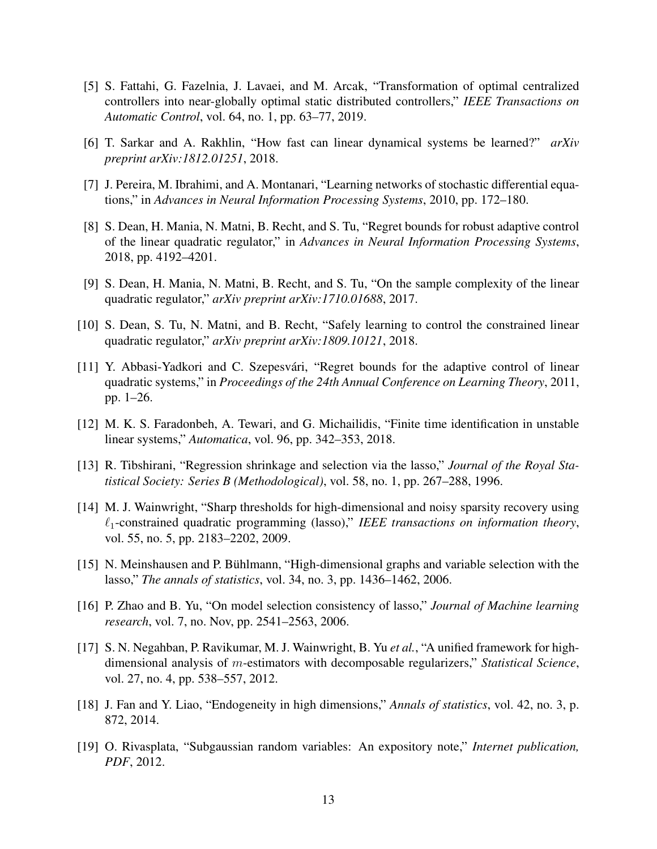- <span id="page-12-0"></span>[5] S. Fattahi, G. Fazelnia, J. Lavaei, and M. Arcak, "Transformation of optimal centralized controllers into near-globally optimal static distributed controllers," *IEEE Transactions on Automatic Control*, vol. 64, no. 1, pp. 63–77, 2019.
- <span id="page-12-1"></span>[6] T. Sarkar and A. Rakhlin, "How fast can linear dynamical systems be learned?" *arXiv preprint arXiv:1812.01251*, 2018.
- <span id="page-12-2"></span>[7] J. Pereira, M. Ibrahimi, and A. Montanari, "Learning networks of stochastic differential equations," in *Advances in Neural Information Processing Systems*, 2010, pp. 172–180.
- <span id="page-12-3"></span>[8] S. Dean, H. Mania, N. Matni, B. Recht, and S. Tu, "Regret bounds for robust adaptive control of the linear quadratic regulator," in *Advances in Neural Information Processing Systems*, 2018, pp. 4192–4201.
- <span id="page-12-4"></span>[9] S. Dean, H. Mania, N. Matni, B. Recht, and S. Tu, "On the sample complexity of the linear quadratic regulator," *arXiv preprint arXiv:1710.01688*, 2017.
- <span id="page-12-5"></span>[10] S. Dean, S. Tu, N. Matni, and B. Recht, "Safely learning to control the constrained linear quadratic regulator," *arXiv preprint arXiv:1809.10121*, 2018.
- <span id="page-12-6"></span>[11] Y. Abbasi-Yadkori and C. Szepesvári, "Regret bounds for the adaptive control of linear quadratic systems," in *Proceedings of the 24th Annual Conference on Learning Theory*, 2011, pp. 1–26.
- <span id="page-12-7"></span>[12] M. K. S. Faradonbeh, A. Tewari, and G. Michailidis, "Finite time identification in unstable linear systems," *Automatica*, vol. 96, pp. 342–353, 2018.
- <span id="page-12-8"></span>[13] R. Tibshirani, "Regression shrinkage and selection via the lasso," *Journal of the Royal Statistical Society: Series B (Methodological)*, vol. 58, no. 1, pp. 267–288, 1996.
- <span id="page-12-9"></span>[14] M. J. Wainwright, "Sharp thresholds for high-dimensional and noisy sparsity recovery using  $\ell_1$ -constrained quadratic programming (lasso)," *IEEE transactions on information theory*, vol. 55, no. 5, pp. 2183–2202, 2009.
- <span id="page-12-10"></span>[15] N. Meinshausen and P. Bühlmann, "High-dimensional graphs and variable selection with the lasso," *The annals of statistics*, vol. 34, no. 3, pp. 1436–1462, 2006.
- <span id="page-12-11"></span>[16] P. Zhao and B. Yu, "On model selection consistency of lasso," *Journal of Machine learning research*, vol. 7, no. Nov, pp. 2541–2563, 2006.
- <span id="page-12-12"></span>[17] S. N. Negahban, P. Ravikumar, M. J. Wainwright, B. Yu *et al.*, "A unified framework for highdimensional analysis of m-estimators with decomposable regularizers," *Statistical Science*, vol. 27, no. 4, pp. 538–557, 2012.
- <span id="page-12-13"></span>[18] J. Fan and Y. Liao, "Endogeneity in high dimensions," *Annals of statistics*, vol. 42, no. 3, p. 872, 2014.
- <span id="page-12-14"></span>[19] O. Rivasplata, "Subgaussian random variables: An expository note," *Internet publication, PDF*, 2012.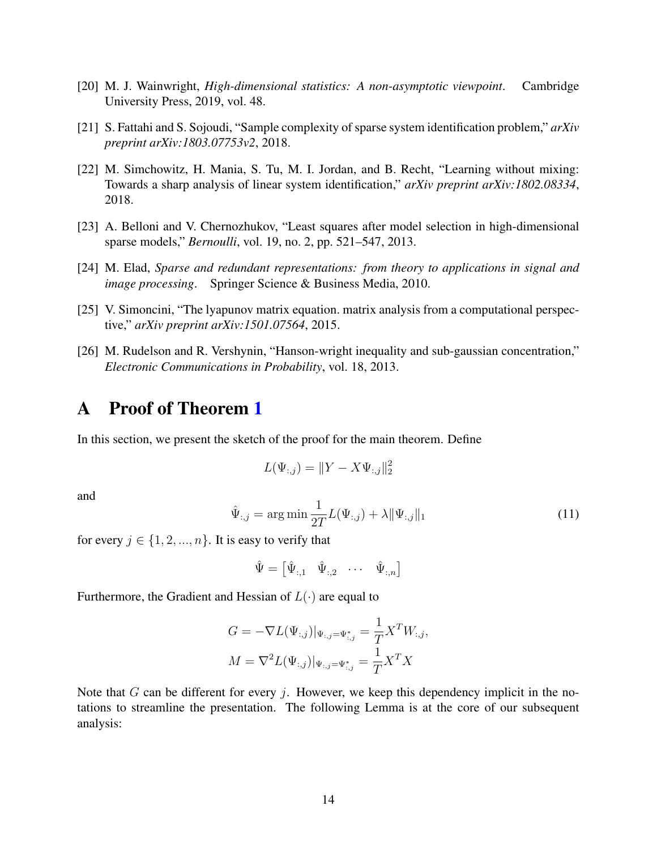- <span id="page-13-0"></span>[20] M. J. Wainwright, *High-dimensional statistics: A non-asymptotic viewpoint*. Cambridge University Press, 2019, vol. 48.
- <span id="page-13-1"></span>[21] S. Fattahi and S. Sojoudi, "Sample complexity of sparse system identification problem," *arXiv preprint arXiv:1803.07753v2*, 2018.
- <span id="page-13-2"></span>[22] M. Simchowitz, H. Mania, S. Tu, M. I. Jordan, and B. Recht, "Learning without mixing: Towards a sharp analysis of linear system identification," *arXiv preprint arXiv:1802.08334*, 2018.
- <span id="page-13-3"></span>[23] A. Belloni and V. Chernozhukov, "Least squares after model selection in high-dimensional sparse models," *Bernoulli*, vol. 19, no. 2, pp. 521–547, 2013.
- <span id="page-13-4"></span>[24] M. Elad, *Sparse and redundant representations: from theory to applications in signal and image processing*. Springer Science & Business Media, 2010.
- <span id="page-13-5"></span>[25] V. Simoncini, "The lyapunov matrix equation. matrix analysis from a computational perspective," *arXiv preprint arXiv:1501.07564*, 2015.
- <span id="page-13-8"></span>[26] M. Rudelson and R. Vershynin, "Hanson-wright inequality and sub-gaussian concentration," *Electronic Communications in Probability*, vol. 18, 2013.

# A Proof of Theorem [1](#page-6-0)

In this section, we present the sketch of the proof for the main theorem. Define

<span id="page-13-6"></span>
$$
L(\Psi_{:,j}) = ||Y - X\Psi_{:,j}||_2^2
$$

and

$$
\hat{\Psi}_{:,j} = \arg\min \frac{1}{2T} L(\Psi_{:,j}) + \lambda \|\Psi_{:,j}\|_1
$$
\n(11)

for every  $j \in \{1, 2, ..., n\}$ . It is easy to verify that

$$
\hat{\Psi} = \begin{bmatrix} \hat{\Psi}_{:,1} & \hat{\Psi}_{:,2} & \cdots & \hat{\Psi}_{:,n} \end{bmatrix}
$$

Furthermore, the Gradient and Hessian of  $L(\cdot)$  are equal to

$$
G = -\nabla L(\Psi_{:,j})|_{\Psi_{:,j} = \Psi^*_{:,j}} = \frac{1}{T} X^T W_{:,j},
$$
  

$$
M = \nabla^2 L(\Psi_{:,j})|_{\Psi_{:,j} = \Psi^*_{:,j}} = \frac{1}{T} X^T X
$$

<span id="page-13-7"></span>Note that  $G$  can be different for every  $\dot{\gamma}$ . However, we keep this dependency implicit in the notations to streamline the presentation. The following Lemma is at the core of our subsequent analysis: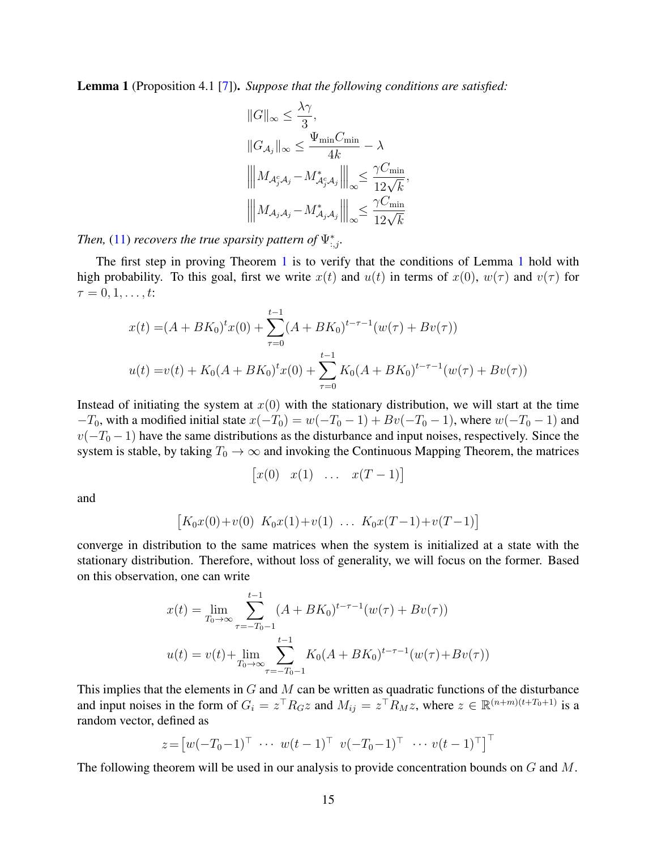Lemma 1 (Proposition 4.1 [\[7\]](#page-12-2)). *Suppose that the following conditions are satisfied:*

$$
||G||_{\infty} \leq \frac{\lambda \gamma}{3},
$$
  
\n
$$
||G_{\mathcal{A}_j}||_{\infty} \leq \frac{\Psi_{\min} C_{\min}}{4k} - \lambda
$$
  
\n
$$
|||M_{\mathcal{A}_j^c \mathcal{A}_j} - M_{\mathcal{A}_j^c \mathcal{A}_j}^*|||_{\infty} \leq \frac{\gamma C_{\min}}{12\sqrt{k}},
$$
  
\n
$$
|||M_{\mathcal{A}_j \mathcal{A}_j} - M_{\mathcal{A}_j \mathcal{A}_j}^*|||_{\infty} \leq \frac{\gamma C_{\min}}{12\sqrt{k}}
$$

*Then,* [\(11\)](#page-13-6) *recovers the true sparsity pattern of*  $\Psi^*_{:,j}$ *.* 

The first step in proving Theorem [1](#page-13-7) is to verify that the conditions of Lemma 1 hold with high probability. To this goal, first we write  $x(t)$  and  $u(t)$  in terms of  $x(0)$ ,  $w(\tau)$  and  $v(\tau)$  for  $\tau = 0, 1, \ldots, t$ :

$$
x(t) = (A + BK_0)^t x(0) + \sum_{\tau=0}^{t-1} (A + BK_0)^{t-\tau-1} (w(\tau) + Bv(\tau))
$$
  

$$
u(t) = v(t) + K_0 (A + BK_0)^t x(0) + \sum_{\tau=0}^{t-1} K_0 (A + BK_0)^{t-\tau-1} (w(\tau) + Bv(\tau))
$$

Instead of initiating the system at  $x(0)$  with the stationary distribution, we will start at the time  $-T_0$ , with a modified initial state  $x(-T_0) = w(-T_0 - 1) + Bv(-T_0 - 1)$ , where  $w(-T_0 - 1)$  and  $v(-T_0-1)$  have the same distributions as the disturbance and input noises, respectively. Since the system is stable, by taking  $T_0 \to \infty$  and invoking the Continuous Mapping Theorem, the matrices

$$
\begin{bmatrix} x(0) & x(1) & \dots & x(T-1) \end{bmatrix}
$$

and

$$
[K_0x(0) + v(0) K_0x(1) + v(1) \ldots K_0x(T-1) + v(T-1)]
$$

converge in distribution to the same matrices when the system is initialized at a state with the stationary distribution. Therefore, without loss of generality, we will focus on the former. Based on this observation, one can write

$$
x(t) = \lim_{T_0 \to \infty} \sum_{\tau = -T_0 - 1}^{t-1} (A + BK_0)^{t-\tau-1} (w(\tau) + Bv(\tau))
$$
  

$$
u(t) = v(t) + \lim_{T_0 \to \infty} \sum_{\tau = -T_0 - 1}^{t-1} K_0 (A + BK_0)^{t-\tau-1} (w(\tau) + Bv(\tau))
$$

This implies that the elements in  $G$  and  $M$  can be written as quadratic functions of the disturbance and input noises in the form of  $G_i = z^{\top} R_G z$  and  $M_{ij} = z^{\top} R_M z$ , where  $z \in \mathbb{R}^{(n+m)(t+T_0+1)}$  is a random vector, defined as

$$
z = \begin{bmatrix} w(-T_0 - 1)^{\top} & \cdots & w(t-1)^{\top} & v(-T_0 - 1)^{\top} & \cdots & v(t-1)^{\top} \end{bmatrix}^{\top}
$$

The following theorem will be used in our analysis to provide concentration bounds on G and M.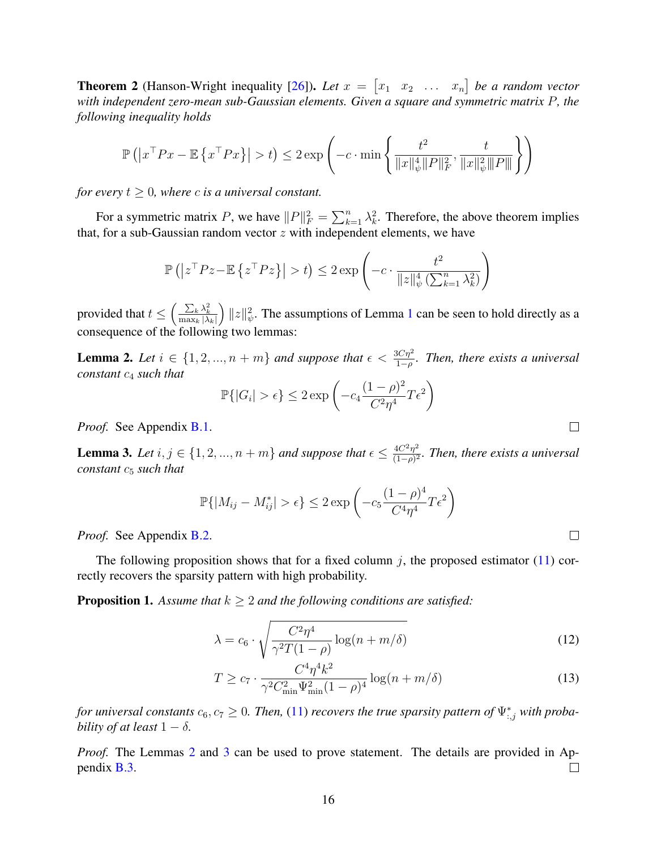**Theorem 2** (Hanson-Wright inequality [\[26\]](#page-13-8)). Let  $x = \begin{bmatrix} x_1 & x_2 & \dots & x_n \end{bmatrix}$  be a random vector *with independent zero-mean sub-Gaussian elements. Given a square and symmetric matrix* P*, the following inequality holds*

$$
\mathbb{P}\left(\left|x^{\top}Px - \mathbb{E}\left\{x^{\top}Px\right\}\right| > t\right) \le 2 \exp\left(-c \cdot \min\left\{\frac{t^2}{\|x\|_{\psi}^4 \|P\|_F^2}, \frac{t}{\|x\|_{\psi}^2 \|P\|}\right\}\right)
$$

*for every*  $t \geq 0$ *, where c is a universal constant.* 

For a symmetric matrix P, we have  $||P||_F^2 = \sum_{k=1}^n \lambda_k^2$ . Therefore, the above theorem implies that, for a sub-Gaussian random vector  $z$  with independent elements, we have

$$
\mathbb{P}\left(\left|z^{\top}Pz-\mathbb{E}\left\{z^{\top}Pz\right\}\right|>t\right)\leq 2\exp\left(-c\cdot\frac{t^2}{\|z\|_{\psi}^4\left(\sum_{k=1}^n\lambda_k^2\right)}\right)
$$

provided that  $t \leq \left(\frac{\sum_k \lambda_k^2}{\max_k |\lambda_k|}\right)$  $\int ||z||_{\psi}^2$ . The assumptions of Lemma [1](#page-13-7) can be seen to hold directly as a consequence of the following two lemmas:

<span id="page-15-1"></span>**Lemma 2.** Let  $i \in \{1, 2, ..., n + m\}$  and suppose that  $\epsilon < \frac{3C\eta^2}{1-\rho}$ . Then, there exists a universal *constant*  $c_4$  *such that* 

$$
\mathbb{P}\{|G_i| > \epsilon\} \le 2 \exp\left(-c_4 \frac{(1-\rho)^2}{C^2 \eta^4} T \epsilon^2\right)
$$

*Proof.* See Appendix [B.1.](#page-18-0)

<span id="page-15-0"></span>**Lemma 3.** Let  $i, j \in \{1, 2, ..., n+m\}$  and suppose that  $\epsilon \leq \frac{4C^2n^2}{(1-\epsilon)^2}$ (1−ρ) 2 *. Then, there exists a universal constant*  $c_5$  *such that* 

$$
\mathbb{P}\{|M_{ij} - M_{ij}^*| > \epsilon\} \le 2 \exp\left(-c_5 \frac{(1-\rho)^4}{C^4 \eta^4} T \epsilon^2\right)
$$

*Proof.* See Appendix [B.2.](#page-20-0)

The following proposition shows that for a fixed column j, the proposed estimator  $(11)$  correctly recovers the sparsity pattern with high probability.

<span id="page-15-2"></span>**Proposition 1.** Assume that  $k \geq 2$  and the following conditions are satisfied:

$$
\lambda = c_6 \cdot \sqrt{\frac{C^2 \eta^4}{\gamma^2 T (1 - \rho)} \log(n + m/\delta)}
$$
(12)

$$
T \ge c_7 \cdot \frac{C^4 \eta^4 k^2}{\gamma^2 C_{\min}^2 \Psi_{\min}^2 (1 - \rho)^4} \log(n + m/\delta)
$$
 (13)

*for universal constants*  $c_6, c_7 \geq 0$ . Then, [\(11\)](#page-13-6) *recovers the true sparsity pattern of*  $\Psi_{:,j}^*$  *with probability of at least*  $1 - \delta$ *.* 

*Proof.* The Lemmas [2](#page-15-1) and [3](#page-15-0) can be used to prove statement. The details are provided in Appendix [B.3.](#page-23-0)  $\Box$ 

 $\Box$ 

 $\Box$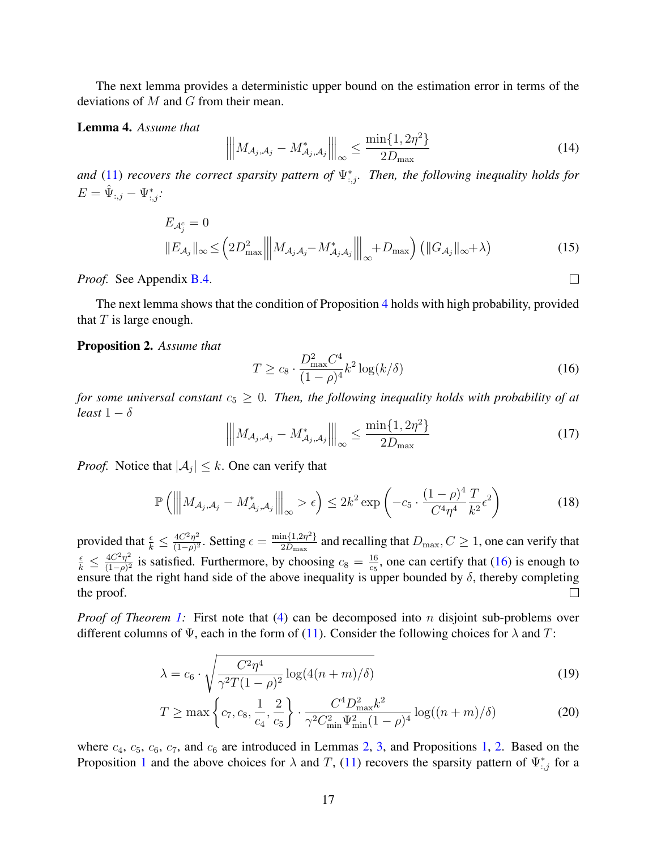The next lemma provides a deterministic upper bound on the estimation error in terms of the deviations of M and G from their mean.

#### <span id="page-16-1"></span>Lemma 4. *Assume that*

<span id="page-16-5"></span>
$$
\left\| M_{\mathcal{A}_j, \mathcal{A}_j} - M_{\mathcal{A}_j, \mathcal{A}_j}^* \right\|_{\infty} \le \frac{\min\{1, 2\eta^2\}}{2D_{\max}} \tag{14}
$$

and [\(11\)](#page-13-6) *recovers the correct sparsity pattern of*  $\Psi_{:,j}^*$ . *Then, the following inequality holds for*  $E = \hat{\Psi}_{:,j} - \Psi^*_{:,j}$ :

$$
E_{\mathcal{A}_j^c} = 0
$$
  

$$
||E_{\mathcal{A}_j}||_{\infty} \leq \left(2D_{\max}^2 \left\|M_{\mathcal{A}_j\mathcal{A}_j} - M_{\mathcal{A}_j\mathcal{A}_j}^*\right\|_{\infty} + D_{\max}\right) \left(\|G_{\mathcal{A}_j}\|_{\infty} + \lambda\right)
$$
 (15)

*Proof.* See Appendix [B.4.](#page-25-0)

The next lemma shows that the condition of Proposition [4](#page-16-1) holds with high probability, provided that  $T$  is large enough.

#### <span id="page-16-3"></span>Proposition 2. *Assume that*

<span id="page-16-2"></span>
$$
T \ge c_8 \cdot \frac{D_{\text{max}}^2 C^4}{(1 - \rho)^4} k^2 \log(k/\delta)
$$
\n(16)

 $\Box$ 

*for some universal constant*  $c_5 \geq 0$ *. Then, the following inequality holds with probability of at least*  $1 - \delta$ 

$$
\left\| M_{\mathcal{A}_j, \mathcal{A}_j} - M_{\mathcal{A}_j, \mathcal{A}_j}^* \right\|_{\infty} \le \frac{\min\{1, 2\eta^2\}}{2D_{\max}} \tag{17}
$$

*Proof.* Notice that  $|\mathcal{A}_j| \leq k$ . One can verify that

<span id="page-16-4"></span>
$$
\mathbb{P}\left(\left\|M_{\mathcal{A}_j,\mathcal{A}_j}-M_{\mathcal{A}_j,\mathcal{A}_j}^*\right\|_{\infty} > \epsilon\right) \le 2k^2 \exp\left(-c_5 \cdot \frac{(1-\rho)^4}{C^4 \eta^4} \frac{T}{k^2} \epsilon^2\right) \tag{18}
$$

provided that  $\frac{\epsilon}{k} \leq \frac{4C^2\eta^2}{(1-\rho)^2}$  $\frac{4C^2\eta^2}{(1-\rho)^2}$ . Setting  $\epsilon = \frac{\min\{1,2\eta^2\}}{2D_{\max}}$  $\frac{\ln\{1,2\eta^2\}}{2D_{\max}}$  and recalling that  $D_{\max}$ ,  $C \geq 1$ , one can verify that  $\frac{\epsilon}{k} \leq \frac{4C^2\eta^2}{(1-\rho)^2}$  $\frac{4C^2\eta^2}{(1-\rho)^2}$  is satisfied. Furthermore, by choosing  $c_8 = \frac{16}{c_5}$  $\frac{16}{c_5}$ , one can certify that [\(16\)](#page-16-2) is enough to ensure that the right hand side of the above inequality is upper bounded by  $\delta$ , thereby completing  $\Box$ the proof.

*Proof of Theorem [1:](#page-6-0)* First note that [\(4\)](#page-3-1) can be decomposed into *n* disjoint sub-problems over different columns of  $\Psi$ , each in the form of [\(11\)](#page-13-6). Consider the following choices for  $\lambda$  and T:

$$
\lambda = c_6 \cdot \sqrt{\frac{C^2 \eta^4}{\gamma^2 T (1 - \rho)^2} \log(4(n + m)/\delta)}
$$
(19)

<span id="page-16-0"></span>
$$
T \ge \max\left\{c_7, c_8, \frac{1}{c_4}, \frac{2}{c_5}\right\} \cdot \frac{C^4 D_{\max}^2 k^2}{\gamma^2 C_{\min}^2 \Psi_{\min}^2 (1 - \rho)^4} \log((n + m)/\delta) \tag{20}
$$

where  $c_4$ ,  $c_5$ ,  $c_6$ ,  $c_7$ , and  $c_6$  are introduced in Lemmas [2,](#page-15-1) [3,](#page-15-0) and Propositions [1,](#page-15-2) [2.](#page-16-3) Based on the Proposition [1](#page-15-2) and the above choices for  $\lambda$  and T, [\(11\)](#page-13-6) recovers the sparsity pattern of  $\Psi_{:,j}^*$  for a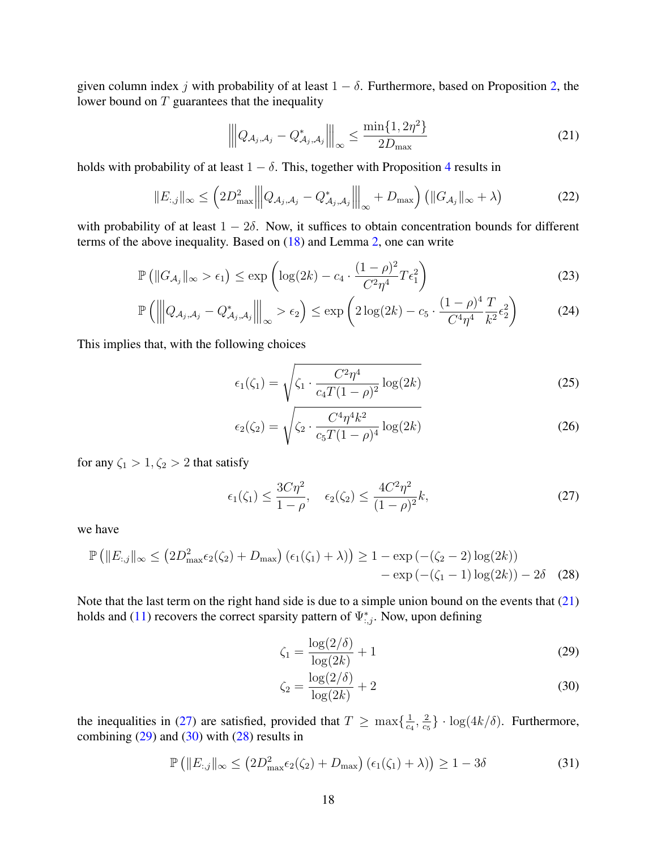given column index j with probability of at least  $1 - \delta$ . Furthermore, based on Proposition [2,](#page-16-3) the lower bound on  $T$  guarantees that the inequality

<span id="page-17-0"></span>
$$
\left\| Q_{\mathcal{A}_j, \mathcal{A}_j} - Q_{\mathcal{A}_j, \mathcal{A}_j}^* \right\|_{\infty} \le \frac{\min\{1, 2\eta^2\}}{2D_{\max}} \tag{21}
$$

holds with probability of at least  $1 - \delta$ . This, together with Proposition [4](#page-16-1) results in

$$
||E_{:,j}||_{\infty} \leq \left(2D_{\max}^2 \left\|Q_{\mathcal{A}_j,\mathcal{A}_j} - Q_{\mathcal{A}_j,\mathcal{A}_j}^*\right\|_{\infty} + D_{\max}\right) \left(\|G_{\mathcal{A}_j}\|_{\infty} + \lambda\right) \tag{22}
$$

with probability of at least  $1 - 2\delta$ . Now, it suffices to obtain concentration bounds for different terms of the above inequality. Based on [\(18\)](#page-16-4) and Lemma [2,](#page-15-1) one can write

$$
\mathbb{P}\left(\|G_{\mathcal{A}_j}\|_{\infty} > \epsilon_1\right) \le \exp\left(\log(2k) - c_4 \cdot \frac{(1-\rho)^2}{C^2 \eta^4} T \epsilon_1^2\right) \tag{23}
$$

$$
\mathbb{P}\left(\left\|Q_{\mathcal{A}_j,\mathcal{A}_j} - Q^*_{\mathcal{A}_j,\mathcal{A}_j}\right\|_{\infty} > \epsilon_2\right) \le \exp\left(2\log(2k) - c_5 \cdot \frac{(1-\rho)^4}{C^4 \eta^4} \frac{T}{k^2} \epsilon_2^2\right) \tag{24}
$$

This implies that, with the following choices

<span id="page-17-6"></span>
$$
\epsilon_1(\zeta_1) = \sqrt{\zeta_1 \cdot \frac{C^2 \eta^4}{c_4 T (1 - \rho)^2} \log(2k)}
$$
\n(25)

<span id="page-17-5"></span>
$$
\epsilon_2(\zeta_2) = \sqrt{\zeta_2 \cdot \frac{C^4 \eta^4 k^2}{c_5 T (1 - \rho)^4} \log(2k)}
$$
 (26)

for any  $\zeta_1 > 1, \zeta_2 > 2$  that satisfy

$$
\epsilon_1(\zeta_1) \le \frac{3C\eta^2}{1-\rho}, \quad \epsilon_2(\zeta_2) \le \frac{4C^2\eta^2}{(1-\rho)^2}k,\tag{27}
$$

we have

$$
\mathbb{P}\left(\|E_{:,j}\|_{\infty} \leq (2D_{\max}^2 \epsilon_2(\zeta_2) + D_{\max}) (\epsilon_1(\zeta_1) + \lambda) \right) \geq 1 - \exp\left(-(\zeta_2 - 2) \log(2k)\right) - \exp\left(-(\zeta_1 - 1) \log(2k)\right) - 2\delta \quad (28)
$$

Note that the last term on the right hand side is due to a simple union bound on the events that  $(21)$ holds and [\(11\)](#page-13-6) recovers the correct sparsity pattern of  $\Psi_{:,j}^*$ . Now, upon defining

<span id="page-17-4"></span><span id="page-17-2"></span><span id="page-17-1"></span>
$$
\zeta_1 = \frac{\log(2/\delta)}{\log(2k)} + 1\tag{29}
$$

<span id="page-17-3"></span>
$$
\zeta_2 = \frac{\log(2/\delta)}{\log(2k)} + 2\tag{30}
$$

the inequalities in [\(27\)](#page-17-1) are satisfied, provided that  $T \ge \max\{\frac{1}{c}\}$  $\frac{1}{c_4}, \frac{2}{c_5}$  $\frac{2}{c_5}$  · log(4 $k/\delta$ ). Furthermore, combining  $(29)$  and  $(30)$  with  $(28)$  results in

$$
\mathbb{P}\left(\|E_{:,j}\|_{\infty} \leq \left(2D_{\max}^2\epsilon_2(\zeta_2) + D_{\max}\right)\left(\epsilon_1(\zeta_1) + \lambda\right)\right) \geq 1 - 3\delta\tag{31}
$$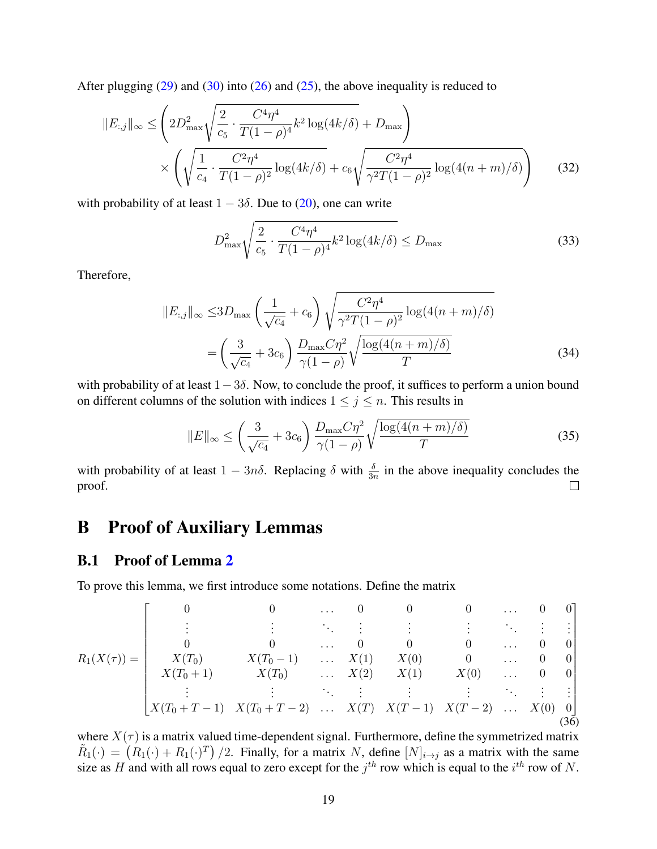After plugging  $(29)$  and  $(30)$  into  $(26)$  and  $(25)$ , the above inequality is reduced to

$$
||E_{:,j}||_{\infty} \leq \left( 2D_{\max}^2 \sqrt{\frac{2}{c_5} \cdot \frac{C^4 \eta^4}{T(1-\rho)^4} k^2 \log(4k/\delta)} + D_{\max} \right) \times \left( \sqrt{\frac{1}{c_4} \cdot \frac{C^2 \eta^4}{T(1-\rho)^2} \log(4k/\delta)} + c_6 \sqrt{\frac{C^2 \eta^4}{\gamma^2 T(1-\rho)^2} \log(4(n+m)/\delta)} \right) \tag{32}
$$

with probability of at least  $1 - 3\delta$ . Due to [\(20\)](#page-16-0), one can write

$$
D_{\max}^2 \sqrt{\frac{2}{c_5} \cdot \frac{C^4 \eta^4}{T(1-\rho)^4} k^2 \log(4k/\delta)} \le D_{\max}
$$
 (33)

Therefore,

$$
||E_{:,j}||_{\infty} \le 3D_{\max} \left(\frac{1}{\sqrt{c_4}} + c_6\right) \sqrt{\frac{C^2 \eta^4}{\gamma^2 T (1 - \rho)^2} \log(4(n + m)/\delta)}
$$

$$
= \left(\frac{3}{\sqrt{c_4}} + 3c_6\right) \frac{D_{\max} C \eta^2}{\gamma (1 - \rho)} \sqrt{\frac{\log(4(n + m)/\delta)}{T}}
$$
(34)

with probability of at least  $1-3\delta$ . Now, to conclude the proof, it suffices to perform a union bound on different columns of the solution with indices  $1 \le j \le n$ . This results in

$$
||E||_{\infty} \le \left(\frac{3}{\sqrt{c_4}} + 3c_6\right) \frac{D_{\text{max}} C \eta^2}{\gamma (1 - \rho)} \sqrt{\frac{\log(4(n+m)/\delta)}{T}}
$$
(35)

with probability of at least  $1 - 3n\delta$ . Replacing  $\delta$  with  $\frac{\delta}{3n}$  in the above inequality concludes the proof.  $\Box$ 

# B Proof of Auxiliary Lemmas

#### <span id="page-18-0"></span>B.1 Proof of Lemma [2](#page-15-1)

To prove this lemma, we first introduce some notations. Define the matrix

$$
R_1(X(\tau)) = \begin{bmatrix} 0 & 0 & \cdots & 0 & 0 & 0 & \cdots & 0 & 0 \\ \vdots & \vdots & \ddots & \vdots & \vdots & \vdots & \ddots & \vdots & \vdots \\ 0 & 0 & \cdots & 0 & 0 & 0 & \cdots & 0 & 0 \\ X(T_0) & X(T_0 - 1) & \cdots & X(1) & X(0) & 0 & \cdots & 0 & 0 \\ X(T_0 + 1) & X(T_0) & \cdots & X(2) & X(1) & X(0) & \cdots & 0 & 0 \\ \vdots & \vdots & \vdots & \ddots & \vdots & \vdots & \vdots & \ddots & \vdots & \vdots \\ X(T_0 + T - 1) & X(T_0 + T - 2) & \cdots & X(T) & X(T - 1) & X(T - 2) & \cdots & X(0) & 0 \end{bmatrix}
$$
(36)

<span id="page-18-1"></span>where  $X(\tau)$  is a matrix valued time-dependent signal. Furthermore, define the symmetrized matrix  $\tilde{R}_1(\cdot) = (R_1(\cdot) + R_1(\cdot)^T)/2$ . Finally, for a matrix N, define  $[N]_{i \to j}$  as a matrix with the same size as H and with all rows equal to zero except for the  $j^{th}$  row which is equal to the  $i^{th}$  row of N.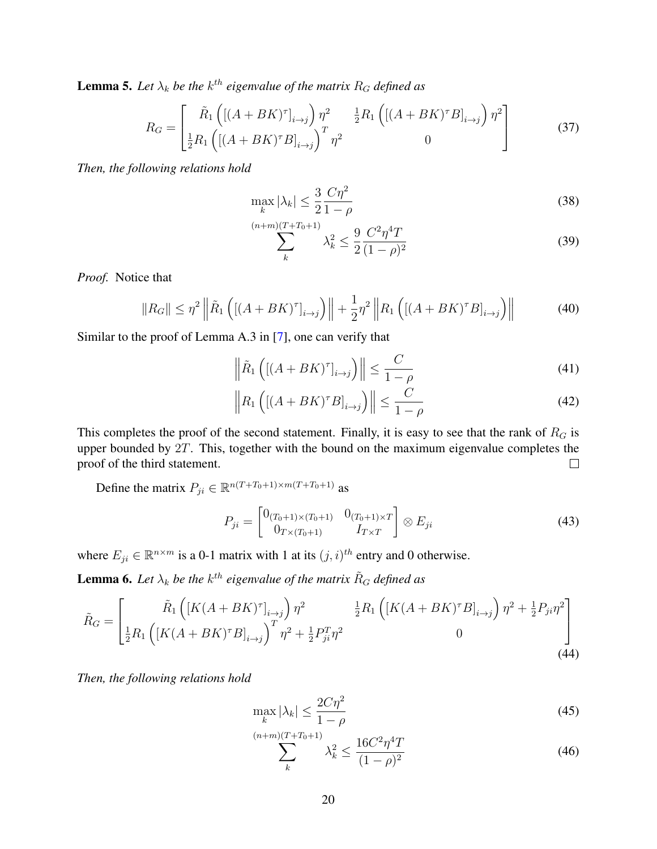**Lemma 5.** Let  $\lambda_k$  be the  $k^{th}$  eigenvalue of the matrix  $R_G$  defined as

$$
R_G = \begin{bmatrix} \tilde{R}_1 \left( \left[ (A + BK)^{\tau} \right]_{i \to j} \right) \eta^2 & \frac{1}{2} R_1 \left( \left[ (A + BK)^{\tau} B \right]_{i \to j} \right) \eta^2 \\ \frac{1}{2} R_1 \left( \left[ (A + BK)^{\tau} B \right]_{i \to j} \right)^T \eta^2 & 0 \end{bmatrix}
$$
(37)

*Then, the following relations hold*

$$
\max_{k} |\lambda_k| \le \frac{3}{2} \frac{C\eta^2}{1-\rho}
$$
\n(38)

$$
\sum_{k}^{(n+m)(T+T_0+1)} \lambda_k^2 \le \frac{9}{2} \frac{C^2 \eta^4 T}{(1-\rho)^2}
$$
 (39)

*Proof.* Notice that

$$
||R_G|| \leq \eta^2 \left\| \tilde{R}_1 \left( \left[ (A + BK)^{\tau} \right]_{i \to j} \right) \right\| + \frac{1}{2} \eta^2 \left\| R_1 \left( \left[ (A + BK)^{\tau} B \right]_{i \to j} \right) \right\| \tag{40}
$$

Similar to the proof of Lemma A.3 in [\[7\]](#page-12-2), one can verify that

$$
\left\| \tilde{R}_1 \left( [(A + BK)^{\tau}]_{i \to j} \right) \right\| \le \frac{C}{1 - \rho} \tag{41}
$$

$$
\left\| R_1 \left( [(A + BK)^{\tau} B]_{i \to j} \right) \right\| \le \frac{C}{1 - \rho} \tag{42}
$$

This completes the proof of the second statement. Finally, it is easy to see that the rank of  $R_G$  is upper bounded by 2T. This, together with the bound on the maximum eigenvalue completes the proof of the third statement.  $\Box$ 

Define the matrix  $P_{ji} \in \mathbb{R}^{n(T+T_0+1)\times m(T+T_0+1)}$  as

$$
P_{ji} = \begin{bmatrix} 0_{(T_0+1)\times(T_0+1)} & 0_{(T_0+1)\times T} \\ 0_{T\times(T_0+1)} & I_{T\times T} \end{bmatrix} \otimes E_{ji}
$$
(43)

where  $E_{ji} \in \mathbb{R}^{n \times m}$  is a 0-1 matrix with 1 at its  $(j, i)^{th}$  entry and 0 otherwise.

<span id="page-19-0"></span>**Lemma 6.** Let  $\lambda_k$  be the  $k^{th}$  eigenvalue of the matrix  $\tilde{R}_G$  defined as

$$
\tilde{R}_{G} = \begin{bmatrix} \tilde{R}_{1} \left( \left[ K(A + BK)^{\tau} \right]_{i \to j} \right) \eta^{2} & \frac{1}{2} R_{1} \left( \left[ K(A + BK)^{\tau} B \right]_{i \to j} \right) \eta^{2} + \frac{1}{2} P_{ji} \eta^{2} \\ \frac{1}{2} R_{1} \left( \left[ K(A + BK)^{\tau} B \right]_{i \to j} \right)^{T} \eta^{2} + \frac{1}{2} P_{ji}^{\tau} \eta^{2} & 0 \end{bmatrix}
$$
\n(44)

*Then, the following relations hold*

$$
\max_{k} |\lambda_{k}| \le \frac{2C\eta^{2}}{1-\rho}
$$
\n(45)

$$
\sum_{k}^{(n+m)(T+T_0+1)} \lambda_k^2 \le \frac{16C^2 \eta^4 T}{(1-\rho)^2} \tag{46}
$$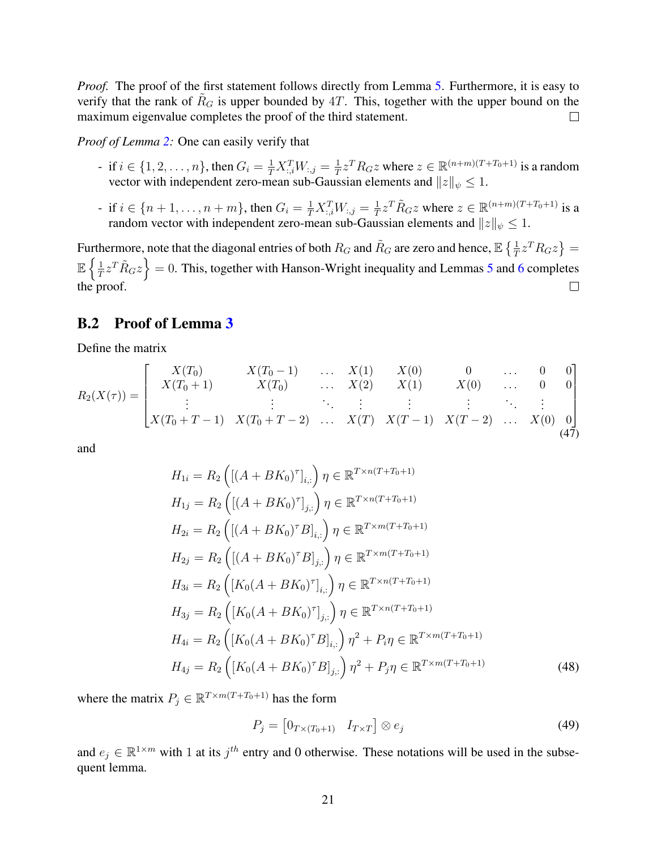*Proof.* The proof of the first statement follows directly from Lemma [5.](#page-18-1) Furthermore, it is easy to verify that the rank of  $R_G$  is upper bounded by  $4T$ . This, together with the upper bound on the maximum eigenvalue completes the proof of the third statement.  $\Box$ 

*Proof of Lemma [2:](#page-15-1)* One can easily verify that

- if  $i \in \{1, 2, ..., n\}$ , then  $G_i = \frac{1}{T} X_{:,i}^T W_{:,j} = \frac{1}{T}$  $\frac{1}{T}z^T R_G z$  where  $z \in \mathbb{R}^{(n+m)(T+T_0+1)}$  is a random vector with independent zero-mean sub-Gaussian elements and  $||z||_{\psi} \leq 1$ .
- if *i* ∈ {*n* + 1, . . . , *n* + *m*}, then  $G_i = \frac{1}{T} X_{:,i}^T W_{:,j} = \frac{1}{T}$  $\frac{1}{T}z^T \tilde{R}_G z$  where  $z \in \mathbb{R}^{(n+m)(T+T_0+1)}$  is a random vector with independent zero-mean sub-Gaussian elements and  $||z||_{\psi} \leq 1$ .

Furthermore, note that the diagonal entries of both  $R_G$  and  $\tilde{R}_G$  are zero and hence,  $\mathbb{E}\left\{\frac{1}{T}z^TR_Gz\right\} =$  $\mathbb{E} \left\{ \frac{1}{n} \right\}$  $\left\{\frac{1}{T}z^T\tilde{R}_Gz\right\}=0.$  This, together with Hanson-Wright inequality and Lemmas [5](#page-18-1) and [6](#page-19-0) completes the proof.  $\Box$ 

#### <span id="page-20-0"></span>B.2 Proof of Lemma [3](#page-15-0)

Define the matrix

$$
R_2(X(\tau)) = \begin{bmatrix} X(T_0) & X(T_0 - 1) & \dots & X(1) & X(0) & 0 & \dots & 0 & 0 \\ X(T_0 + 1) & X(T_0) & \dots & X(2) & X(1) & X(0) & \dots & 0 & 0 \\ \vdots & \vdots & \ddots & \vdots & \vdots & \vdots & \ddots & \vdots \\ X(T_0 + T - 1) & X(T_0 + T - 2) & \dots & X(T) & X(T - 1) & X(T - 2) & \dots & X(0) & 0 \end{bmatrix}
$$
(47)

and

$$
H_{1i} = R_2 \left( \left[ (A + BK_0)^{\tau} \right]_{i,:} \right) \eta \in \mathbb{R}^{T \times n(T + T_0 + 1)}
$$
  
\n
$$
H_{1j} = R_2 \left( \left[ (A + BK_0)^{\tau} \right]_{j,:} \right) \eta \in \mathbb{R}^{T \times n(T + T_0 + 1)}
$$
  
\n
$$
H_{2i} = R_2 \left( \left[ (A + BK_0)^{\tau} B \right]_{i,:} \right) \eta \in \mathbb{R}^{T \times m(T + T_0 + 1)}
$$
  
\n
$$
H_{2j} = R_2 \left( \left[ (A + BK_0)^{\tau} B \right]_{j,:} \right) \eta \in \mathbb{R}^{T \times m(T + T_0 + 1)}
$$
  
\n
$$
H_{3i} = R_2 \left( \left[ K_0 (A + BK_0)^{\tau} \right]_{i,:} \right) \eta \in \mathbb{R}^{T \times n(T + T_0 + 1)}
$$
  
\n
$$
H_{3j} = R_2 \left( \left[ K_0 (A + BK_0)^{\tau} \right]_{j,:} \right) \eta \in \mathbb{R}^{T \times n(T + T_0 + 1)}
$$
  
\n
$$
H_{4i} = R_2 \left( \left[ K_0 (A + BK_0)^{\tau} B \right]_{i,:} \right) \eta^2 + P_i \eta \in \mathbb{R}^{T \times m(T + T_0 + 1)}
$$
  
\n
$$
H_{4j} = R_2 \left( \left[ K_0 (A + BK_0)^{\tau} B \right]_{j,:} \right) \eta^2 + P_j \eta \in \mathbb{R}^{T \times m(T + T_0 + 1)}
$$
  
\n(48)

where the matrix  $P_j \in \mathbb{R}^{T \times m(T + T_0 + 1)}$  has the form

$$
P_j = \begin{bmatrix} 0_{T \times (T_0 + 1)} & I_{T \times T} \end{bmatrix} \otimes e_j \tag{49}
$$

<span id="page-20-1"></span>and  $e_j \in \mathbb{R}^{1 \times m}$  with 1 at its  $j^{th}$  entry and 0 otherwise. These notations will be used in the subsequent lemma.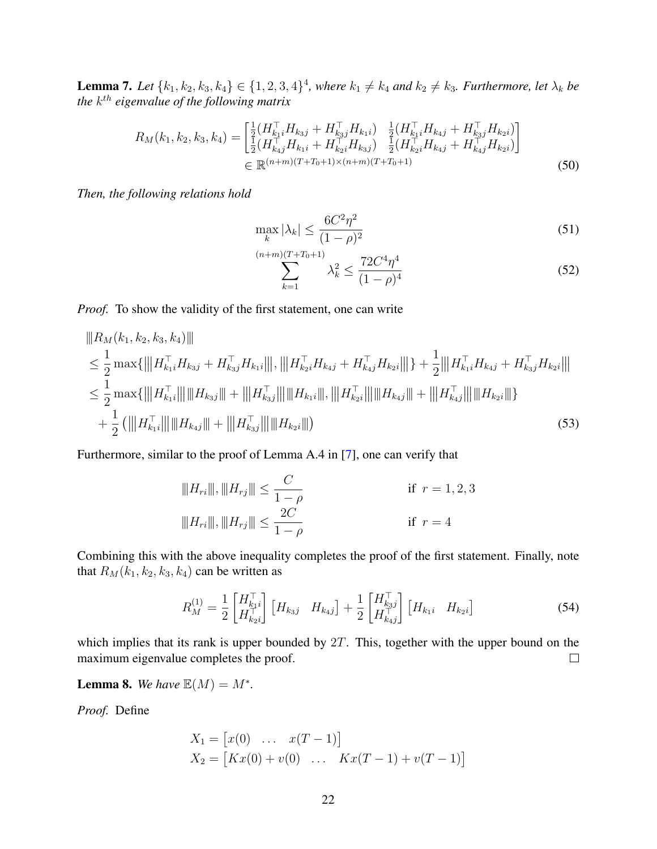**Lemma 7.** Let  $\{k_1, k_2, k_3, k_4\} \in \{1, 2, 3, 4\}^4$ , where  $k_1 \neq k_4$  and  $k_2 \neq k_3$ . Furthermore, let  $\lambda_k$  be the  $k^{th}$  eigenvalue of the following matrix

$$
R_M(k_1, k_2, k_3, k_4) = \begin{bmatrix} \frac{1}{2} (H_{k_1 i}^\top H_{k_3 j} + H_{k_3 j}^\top H_{k_1 i}) & \frac{1}{2} (H_{k_1 i}^\top H_{k_4 j} + H_{k_3 j}^\top H_{k_2 i}) \\ \frac{1}{2} (H_{k_4 j}^\top H_{k_1 i} + H_{k_2 i}^\top H_{k_3 j}) & \frac{1}{2} (H_{k_2 i}^\top H_{k_4 j} + H_{k_4 j}^\top H_{k_2 i}) \end{bmatrix} \\ \in \mathbb{R}^{(n+m)(T+T_0+1)\times(n+m)(T+T_0+1)} \tag{50}
$$

*Then, the following relations hold*

$$
\max_{k} |\lambda_k| \le \frac{6C^2 \eta^2}{(1-\rho)^2} \tag{51}
$$

$$
\sum_{k=1}^{(n+m)(T+T_0+1)} \lambda_k^2 \le \frac{72C^4\eta^4}{(1-\rho)^4}
$$
\n(52)

*Proof.* To show the validity of the first statement, one can write

$$
||R_M(k_1, k_2, k_3, k_4)||
$$
  
\n
$$
\leq \frac{1}{2} \max \{|||H_{k_1i}^\top H_{k_3j} + H_{k_3j}^\top H_{k_1i}|||, |||H_{k_2i}^\top H_{k_4j} + H_{k_4j}^\top H_{k_2i}||| \} + \frac{1}{2} |||H_{k_1i}^\top H_{k_4j} + H_{k_3j}^\top H_{k_2i}|||
$$
  
\n
$$
\leq \frac{1}{2} \max \{|||H_{k_1i}^\top|| |||H_{k_3j}||| + |||H_{k_3j}^\top|| |||H_{k_1i}||, |||H_{k_2i}|||| + |||H_{k_4j}^\top|| ||||H_{k_2i}||| \}
$$
  
\n
$$
+ \frac{1}{2} (|||H_{k_1i}^\top|| |||H_{k_4j}|| + |||H_{k_3j}^\top|| ||||H_{k_2i}||)
$$
\n(53)

Furthermore, similar to the proof of Lemma A.4 in [\[7\]](#page-12-2), one can verify that

$$
|||H_{ri}||, |||H_{rj}|| \leq \frac{C}{1-\rho}
$$
 if  $r = 1, 2, 3$   

$$
|||H_{ri}||, |||H_{rj}|| \leq \frac{2C}{1-\rho}
$$
 if  $r = 4$ 

Combining this with the above inequality completes the proof of the first statement. Finally, note that  $R_M(k_1, k_2, k_3, k_4)$  can be written as

$$
R_M^{(1)} = \frac{1}{2} \begin{bmatrix} H_{k_1 i}^{\top} \\ H_{k_2 i}^{\top} \end{bmatrix} \begin{bmatrix} H_{k_3 j} & H_{k_4 j} \end{bmatrix} + \frac{1}{2} \begin{bmatrix} H_{k_3 j}^{\top} \\ H_{k_4 j}^{\top} \end{bmatrix} \begin{bmatrix} H_{k_1 i} & H_{k_2 i} \end{bmatrix}
$$
(54)

which implies that its rank is upper bounded by  $2T$ . This, together with the upper bound on the maximum eigenvalue completes the proof.  $\Box$ 

<span id="page-21-0"></span>**Lemma 8.** We have  $\mathbb{E}(M) = M^*$ .

*Proof.* Define

$$
X_1 = [x(0) \dots x(T-1)]
$$
  
\n
$$
X_2 = [Kx(0) + v(0) \dots Kx(T-1) + v(T-1)]
$$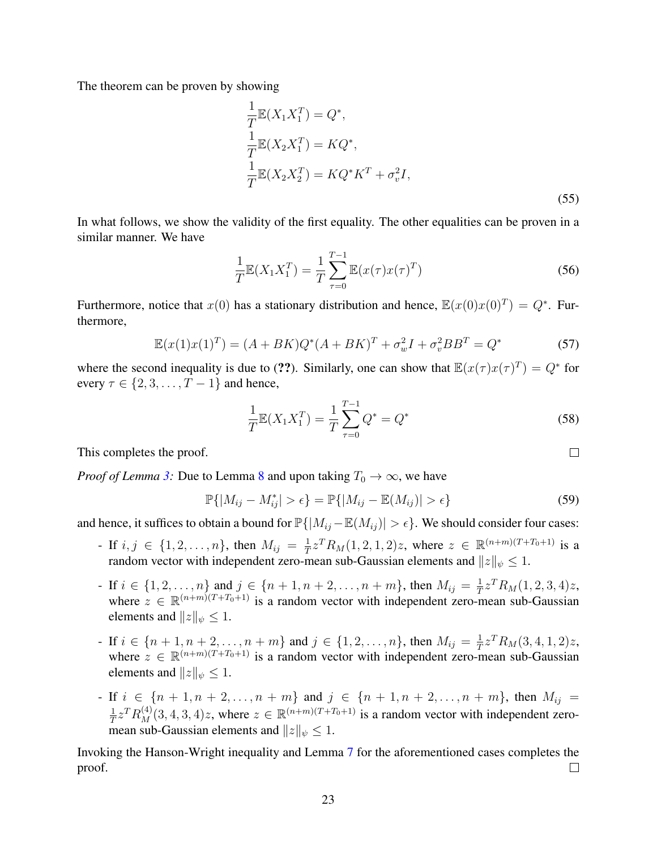The theorem can be proven by showing

$$
\frac{1}{T}\mathbb{E}(X_1X_1^T) = Q^*,
$$
\n
$$
\frac{1}{T}\mathbb{E}(X_2X_1^T) = KQ^*,
$$
\n
$$
\frac{1}{T}\mathbb{E}(X_2X_2^T) = KQ^*K^T + \sigma_v^2I,
$$
\n(55)

In what follows, we show the validity of the first equality. The other equalities can be proven in a similar manner. We have

$$
\frac{1}{T}\mathbb{E}(X_1X_1^T) = \frac{1}{T}\sum_{\tau=0}^{T-1}\mathbb{E}(x(\tau)x(\tau)^T)
$$
\n(56)

Furthermore, notice that  $x(0)$  has a stationary distribution and hence,  $\mathbb{E}(x(0)x(0)^T) = Q^*$ . Furthermore,

$$
\mathbb{E}(x(1)x(1)^{T}) = (A + BK)Q^{*}(A + BK)^{T} + \sigma_{w}^{2}I + \sigma_{v}^{2}BB^{T} = Q^{*}
$$
 (57)

where the second inequality is due to (??). Similarly, one can show that  $\mathbb{E}(x(\tau)x(\tau)^T) = Q^*$  for every  $\tau \in \{2, 3, \ldots, T-1\}$  and hence,

$$
\frac{1}{T}\mathbb{E}(X_1X_1^T) = \frac{1}{T}\sum_{\tau=0}^{T-1}Q^* = Q^*
$$
\n(58)

This completes the proof.

*Proof of Lemma* [3:](#page-15-0) Due to Lemma [8](#page-21-0) and upon taking  $T_0 \to \infty$ , we have

$$
\mathbb{P}\{|M_{ij}-M_{ij}^*|>\epsilon\}=\mathbb{P}\{|M_{ij}-\mathbb{E}(M_{ij})|>\epsilon\}
$$
\n(59)

and hence, it suffices to obtain a bound for  $\mathbb{P}\{|M_{ij} - \mathbb{E}(M_{ij})| > \epsilon\}$ . We should consider four cases:

- If  $i, j \in \{1, 2, ..., n\}$ , then  $M_{ij} = \frac{1}{T}$  $\frac{1}{T}z^T R_M(1,2,1,2)z$ , where  $z \in \mathbb{R}^{(n+m)(T+T_0+1)}$  is a random vector with independent zero-mean sub-Gaussian elements and  $||z||_{\psi} \leq 1$ .
- If  $i \in \{1, 2, ..., n\}$  and  $j \in \{n+1, n+2, ..., n+m\}$ , then  $M_{ij} = \frac{1}{T}$  $\frac{1}{T}z^T R_M(1,2,3,4)z,$ where  $z \in \mathbb{R}^{(n+m)(T+T_0+1)}$  is a random vector with independent zero-mean sub-Gaussian elements and  $||z||_{\psi} \leq 1$ .
- If  $i \in \{n+1, n+2, ..., n+m\}$  and  $j \in \{1, 2, ..., n\}$ , then  $M_{ij} = \frac{1}{T}$  $\frac{1}{T}z^T R_M(3,4,1,2)z,$ where  $z \in \mathbb{R}^{(n+m)(T+T_0+1)}$  is a random vector with independent zero-mean sub-Gaussian elements and  $||z||_{\psi} \leq 1$ .
- If  $i \in \{n+1, n+2, ..., n+m\}$  and  $j \in \{n+1, n+2, ..., n+m\}$ , then  $M_{ij} =$ 1  $\frac{1}{T}z^T R_M^{(4)}(3,4,3,4)z$ , where  $z \in \mathbb{R}^{(n+m)(T+T_0+1)}$  is a random vector with independent zeromean sub-Gaussian elements and  $||z||_{\psi} \leq 1$ .

Invoking the Hanson-Wright inequality and Lemma [7](#page-20-1) for the aforementioned cases completes the proof.  $\Box$ 

 $\Box$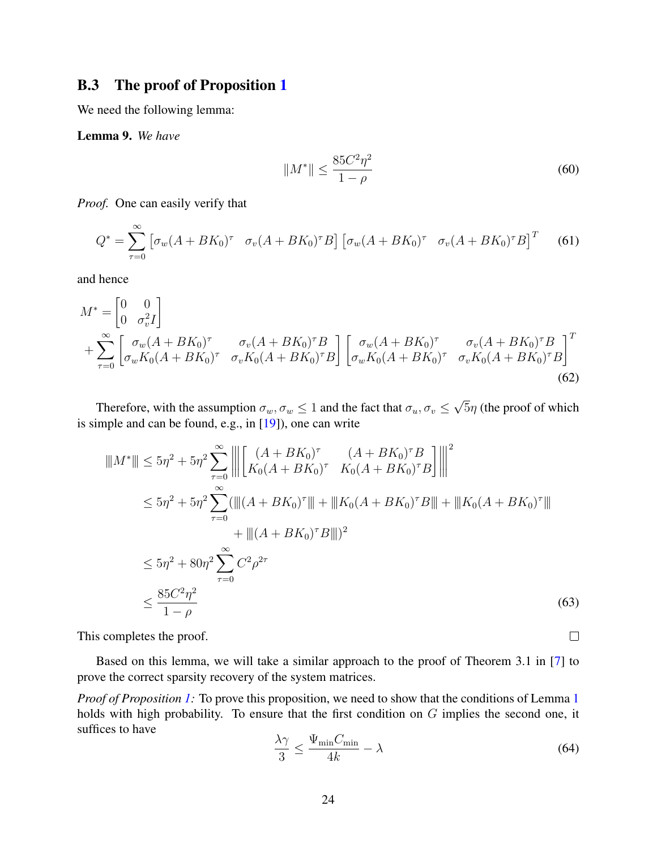### <span id="page-23-0"></span>B.3 The proof of Proposition [1](#page-15-2)

<span id="page-23-1"></span>We need the following lemma:

Lemma 9. *We have*

$$
||M^*|| \le \frac{85C^2\eta^2}{1-\rho}
$$
\n(60)

*Proof.* One can easily verify that

$$
Q^* = \sum_{\tau=0}^{\infty} \left[ \sigma_w (A + BK_0)^{\tau} \quad \sigma_v (A + BK_0)^{\tau} B \right] \left[ \sigma_w (A + BK_0)^{\tau} \quad \sigma_v (A + BK_0)^{\tau} B \right]^T \tag{61}
$$

and hence

$$
M^* = \begin{bmatrix} 0 & 0 \\ 0 & \sigma_v^2 I \end{bmatrix}
$$
  
+ 
$$
\sum_{\tau=0}^{\infty} \begin{bmatrix} \sigma_w (A + BK_0)^{\tau} & \sigma_v (A + BK_0)^{\tau} B \\ \sigma_w K_0 (A + BK_0)^{\tau} & \sigma_v K_0 (A + BK_0)^{\tau} B \end{bmatrix} \begin{bmatrix} \sigma_w (A + BK_0)^{\tau} & \sigma_v (A + BK_0)^{\tau} B \\ \sigma_w K_0 (A + BK_0)^{\tau} & \sigma_v K_0 (A + BK_0)^{\tau} B \end{bmatrix}^{T}
$$
(62)

Therefore, with the assumption  $\sigma_w, \sigma_w \leq 1$  and the fact that  $\sigma_u, \sigma_v \leq 1$ √  $5\eta$  (the proof of which is simple and can be found, e.g., in [\[19\]](#page-12-14)), one can write

$$
||M^*|| \le 5\eta^2 + 5\eta^2 \sum_{\tau=0}^{\infty} \left\| \left[ \frac{(A + BK_0)^{\tau}}{K_0(A + BK_0)^{\tau}} \frac{(A + BK_0)^{\tau}B}{K_0(A + BK_0)^{\tau}B} \right] \right\|^2
$$
  
\n
$$
\le 5\eta^2 + 5\eta^2 \sum_{\tau=0}^{\infty} (\|(A + BK_0)^{\tau}\| + \|K_0(A + BK_0)^{\tau}B\| + \|K_0(A + BK_0)^{\tau}\| + \|((A + BK_0)^{\tau}B)\|)^2
$$
  
\n
$$
\le 5\eta^2 + 80\eta^2 \sum_{\tau=0}^{\infty} C^2 \rho^{2\tau}
$$
  
\n
$$
\le \frac{85C^2\eta^2}{1-\rho}
$$
 (63)

This completes the proof.

Based on this lemma, we will take a similar approach to the proof of Theorem 3.1 in [\[7\]](#page-12-2) to prove the correct sparsity recovery of the system matrices.

*Proof of Proposition [1:](#page-15-2)* To prove this proposition, we need to show that the conditions of Lemma [1](#page-13-7) holds with high probability. To ensure that the first condition on  $G$  implies the second one, it suffices to have

$$
\frac{\lambda \gamma}{3} \le \frac{\Psi_{\min} C_{\min}}{4k} - \lambda \tag{64}
$$

 $\Box$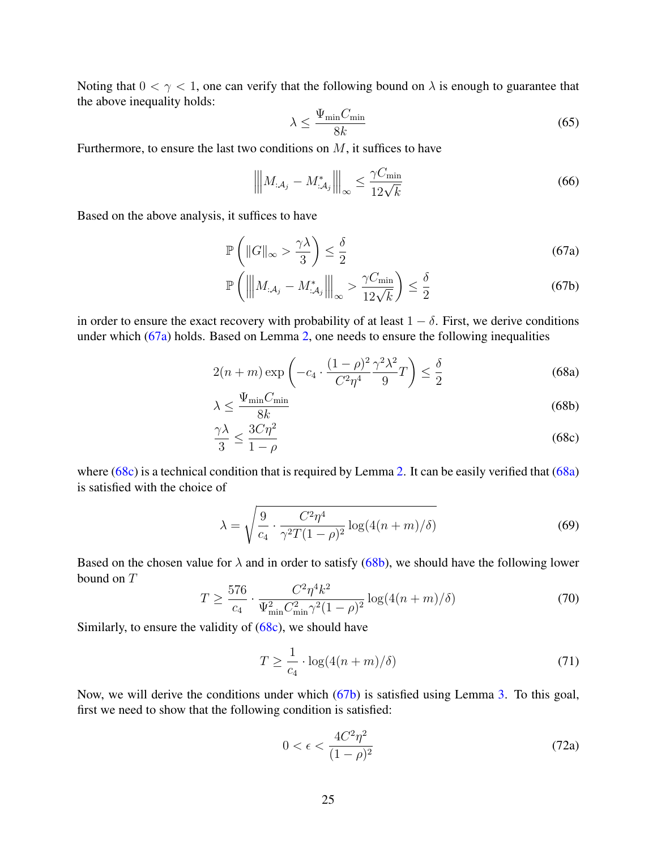Noting that  $0 < \gamma < 1$ , one can verify that the following bound on  $\lambda$  is enough to guarantee that the above inequality holds:

<span id="page-24-4"></span><span id="page-24-0"></span>
$$
\lambda \le \frac{\Psi_{\min} C_{\min}}{8k} \tag{65}
$$

Furthermore, to ensure the last two conditions on  $M$ , it suffices to have

$$
\left\| \left\| M_{:A_j} - M_{:A_j}^* \right\| \right\|_{\infty} \le \frac{\gamma C_{\min}}{12\sqrt{k}} \tag{66}
$$

Based on the above analysis, it suffices to have

$$
\mathbb{P}\left(\|G\|_{\infty} > \frac{\gamma \lambda}{3}\right) \le \frac{\delta}{2} \tag{67a}
$$

<span id="page-24-2"></span>
$$
\mathbb{P}\left(\left\|M_{:\mathcal{A}_j} - M_{:\mathcal{A}_j}^*\right\|_{\infty} > \frac{\gamma C_{\min}}{12\sqrt{k}}\right) \le \frac{\delta}{2}
$$
\n(67b)

in order to ensure the exact recovery with probability of at least  $1 - \delta$ . First, we derive conditions under which [\(67a\)](#page-24-0) holds. Based on Lemma [2,](#page-15-1) one needs to ensure the following inequalities

$$
2(n+m)\exp\left(-c_4\cdot\frac{(1-\rho)^2}{C^2\eta^4}\frac{\gamma^2\lambda^2}{9}T\right) \le \frac{\delta}{2}
$$
\n(68a)

<span id="page-24-3"></span>
$$
\lambda \le \frac{\Psi_{\min} C_{\min}}{8k} \tag{68b}
$$

<span id="page-24-1"></span>
$$
\frac{\gamma \lambda}{3} \le \frac{3C\eta^2}{1-\rho} \tag{68c}
$$

where  $(68c)$  is a technical condition that is required by Lemma [2.](#page-15-1) It can be easily verified that  $(68a)$ is satisfied with the choice of

$$
\lambda = \sqrt{\frac{9}{c_4} \cdot \frac{C^2 \eta^4}{\gamma^2 T (1 - \rho)^2} \log(4(n + m)/\delta)}
$$
(69)

Based on the chosen value for  $\lambda$  and in order to satisfy [\(68b\)](#page-24-3), we should have the following lower bound on T

<span id="page-24-5"></span>
$$
T \ge \frac{576}{c_4} \cdot \frac{C^2 \eta^4 k^2}{\Psi_{\min}^2 C_{\min}^2 \gamma^2 (1 - \rho)^2} \log(4(n + m)/\delta)
$$
 (70)

Similarly, to ensure the validity of  $(68c)$ , we should have

<span id="page-24-6"></span>
$$
T \ge \frac{1}{c_4} \cdot \log(4(n+m)/\delta) \tag{71}
$$

Now, we will derive the conditions under which [\(67b\)](#page-24-4) is satisfied using Lemma [3.](#page-15-0) To this goal, first we need to show that the following condition is satisfied:

$$
0 < \epsilon < \frac{4C^2\eta^2}{(1-\rho)^2} \tag{72a}
$$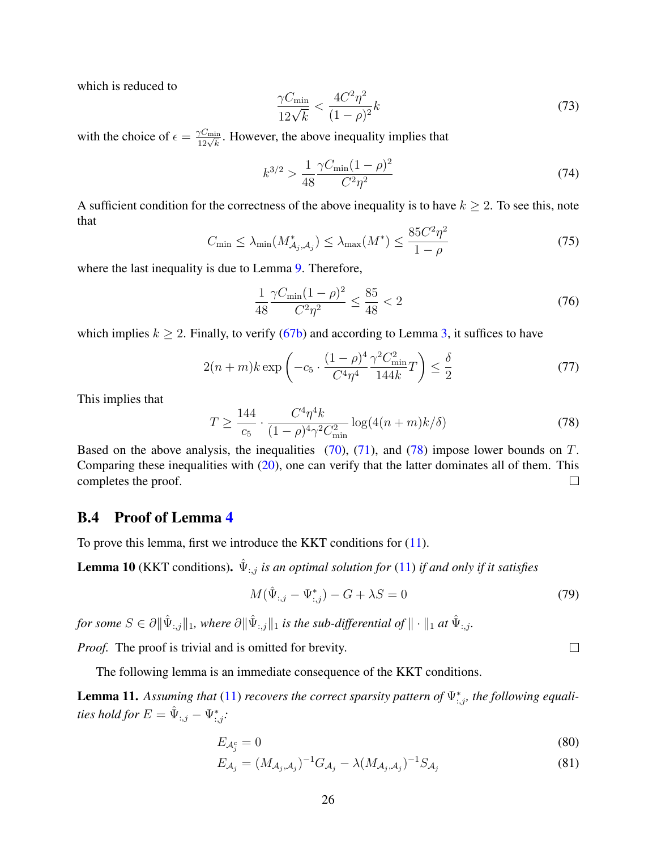which is reduced to

$$
\frac{\gamma C_{\min}}{12\sqrt{k}} < \frac{4C^2\eta^2}{(1-\rho)^2}k\tag{73}
$$

with the choice of  $\epsilon = \frac{\gamma C_{\min}}{12\sqrt{k}}$ . However, the above inequality implies that

$$
k^{3/2} > \frac{1}{48} \frac{\gamma C_{\min}(1-\rho)^2}{C^2 \eta^2} \tag{74}
$$

A sufficient condition for the correctness of the above inequality is to have  $k \geq 2$ . To see this, note that

$$
C_{\min} \le \lambda_{\min}(M^*_{\mathcal{A}_j, \mathcal{A}_j}) \le \lambda_{\max}(M^*) \le \frac{85C^2\eta^2}{1-\rho}
$$
\n<sup>(75)</sup>

where the last inequality is due to Lemma [9.](#page-23-1) Therefore,

$$
\frac{1}{48} \frac{\gamma C_{\min}(1-\rho)^2}{C^2 \eta^2} \le \frac{85}{48} < 2 \tag{76}
$$

which implies  $k \ge 2$ . Finally, to verify [\(67b\)](#page-24-4) and according to Lemma [3,](#page-15-0) it suffices to have

$$
2(n+m)k \exp\left(-c_5 \cdot \frac{(1-\rho)^4}{C^4 \eta^4} \frac{\gamma^2 C_{\min}^2}{144k} T\right) \le \frac{\delta}{2}
$$
 (77)

This implies that

<span id="page-25-1"></span>
$$
T \ge \frac{144}{c_5} \cdot \frac{C^4 \eta^4 k}{(1 - \rho)^4 \gamma^2 C_{\min}^2} \log(4(n + m)k/\delta)
$$
 (78)

Based on the above analysis, the inequalities  $(70)$ ,  $(71)$ , and  $(78)$  impose lower bounds on T. Comparing these inequalities with [\(20\)](#page-16-0), one can verify that the latter dominates all of them. This completes the proof.  $\Box$ 

#### <span id="page-25-0"></span>B.4 Proof of Lemma [4](#page-16-1)

To prove this lemma, first we introduce the KKT conditions for [\(11\)](#page-13-6).

**Lemma 10** (KKT conditions).  $\hat{\Psi}_{:,j}$  *is an optimal solution for* [\(11\)](#page-13-6) *if and only if it satisfies* 

$$
M(\hat{\Psi}_{:,j} - \Psi_{:,j}^*) - G + \lambda S = 0
$$
\n(79)

 $f$ or some  $S \in \partial \|\hat{\Psi}_{:,j}\|_1$ , where  $\partial \|\hat{\Psi}_{:,j}\|_1$  is the sub-differential of  $\|\cdot\|_1$  at  $\hat{\Psi}_{:,j}$ .

*Proof.* The proof is trivial and is omitted for brevity.

The following lemma is an immediate consequence of the KKT conditions.

<span id="page-25-2"></span>**Lemma 11.** Assuming that [\(11\)](#page-13-6) recovers the correct sparsity pattern of  $\Psi_{:,j}^{*}$ , the following equalities hold for  $E=\hat{\Psi}_{:,j}-\Psi_{:,j}^*$ :

$$
E_{\mathcal{A}_{j}^{c}} = 0 \tag{80}
$$

$$
E_{\mathcal{A}_j} = (M_{\mathcal{A}_j, \mathcal{A}_j})^{-1} G_{\mathcal{A}_j} - \lambda (M_{\mathcal{A}_j, \mathcal{A}_j})^{-1} S_{\mathcal{A}_j}
$$
(81)

 $\Box$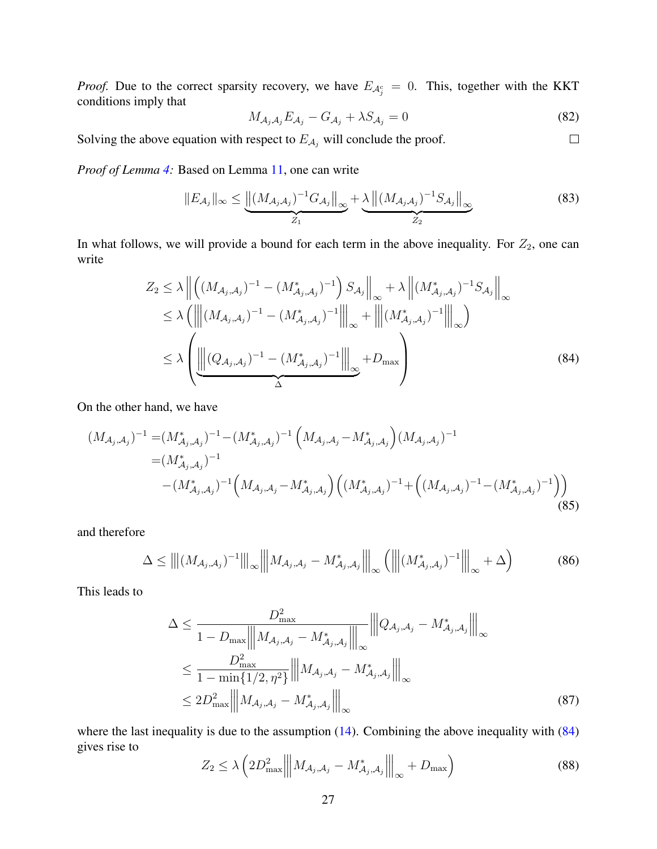*Proof.* Due to the correct sparsity recovery, we have  $E_{\mathcal{A}^c_j} = 0$ . This, together with the KKT conditions imply that

$$
M_{\mathcal{A}_j \mathcal{A}_j} E_{\mathcal{A}_j} - G_{\mathcal{A}_j} + \lambda S_{\mathcal{A}_j} = 0
$$
\n(82)

<span id="page-26-0"></span> $\Box$ 

Solving the above equation with respect to  $E_{A_j}$  will conclude the proof.

*Proof of Lemma [4:](#page-16-1)* Based on Lemma [11,](#page-25-2) one can write

$$
||E_{\mathcal{A}_j}||_{\infty} \leq \underbrace{||(M_{\mathcal{A}_j\mathcal{A}_j})^{-1}G_{\mathcal{A}_j}||_{\infty}}_{Z_1} + \underbrace{\lambda ||(M_{\mathcal{A}_j\mathcal{A}_j})^{-1}S_{\mathcal{A}_j}||_{\infty}}_{Z_2}
$$
(83)

In what follows, we will provide a bound for each term in the above inequality. For  $Z_2$ , one can write

$$
Z_2 \le \lambda \left\| \left( (M_{\mathcal{A}_j, \mathcal{A}_j})^{-1} - (M^*_{\mathcal{A}_j, \mathcal{A}_j})^{-1} \right) S_{\mathcal{A}_j} \right\|_{\infty} + \lambda \left\| (M^*_{\mathcal{A}_j, \mathcal{A}_j})^{-1} S_{\mathcal{A}_j} \right\|_{\infty} \le \lambda \left( \left\| (M_{\mathcal{A}_j, \mathcal{A}_j})^{-1} - (M^*_{\mathcal{A}_j, \mathcal{A}_j})^{-1} \right\|_{\infty} + \left\| (M^*_{\mathcal{A}_j, \mathcal{A}_j})^{-1} \right\|_{\infty} \right) \le \lambda \left( \underbrace{\left\| (Q_{\mathcal{A}_j, \mathcal{A}_j})^{-1} - (M^*_{\mathcal{A}_j, \mathcal{A}_j})^{-1} \right\|_{\infty}}_{\Delta} + D_{\max} \right)
$$
\n(84)

On the other hand, we have

$$
(M_{\mathcal{A}_{j},\mathcal{A}_{j}})^{-1} = (M_{\mathcal{A}_{j},\mathcal{A}_{j}}^{*})^{-1} - (M_{\mathcal{A}_{j},\mathcal{A}_{j}}^{*})^{-1} \left(M_{\mathcal{A}_{j},\mathcal{A}_{j}} - M_{\mathcal{A}_{j},\mathcal{A}_{j}}^{*}\right) (M_{\mathcal{A}_{j},\mathcal{A}_{j}})^{-1}
$$
  
\n
$$
= (M_{\mathcal{A}_{j},\mathcal{A}_{j}}^{*})^{-1} \left(M_{\mathcal{A}_{j},\mathcal{A}_{j}} - M_{\mathcal{A}_{j},\mathcal{A}_{j}}^{*}\right) \left((M_{\mathcal{A}_{j},\mathcal{A}_{j}}^{*})^{-1} + \left((M_{\mathcal{A}_{j},\mathcal{A}_{j}})^{-1} - (M_{\mathcal{A}_{j},\mathcal{A}_{j}}^{*})^{-1}\right)\right)
$$
\n(85)

and therefore

$$
\Delta \leq |||(M_{\mathcal{A}_j,\mathcal{A}_j})^{-1}|||_{\infty} |||M_{\mathcal{A}_j,\mathcal{A}_j}-M_{\mathcal{A}_j,\mathcal{A}_j}^*|||_{\infty} (|||(M_{\mathcal{A}_j,\mathcal{A}_j}^*)^{-1}|||_{\infty}+\Delta) \tag{86}
$$

This leads to

$$
\Delta \leq \frac{D_{\max}^2}{1 - D_{\max} || M_{\mathcal{A}_j, \mathcal{A}_j} - M_{\mathcal{A}_j, \mathcal{A}_j}^* ||_{\infty}} || Q_{\mathcal{A}_j, \mathcal{A}_j} - M_{\mathcal{A}_j, \mathcal{A}_j}^* ||_{\infty}
$$
\n
$$
\leq \frac{D_{\max}^2}{1 - \min\{1/2, \eta^2\}} || M_{\mathcal{A}_j, \mathcal{A}_j} - M_{\mathcal{A}_j, \mathcal{A}_j}^* ||_{\infty}
$$
\n
$$
\leq 2D_{\max}^2 || M_{\mathcal{A}_j, \mathcal{A}_j} - M_{\mathcal{A}_j, \mathcal{A}_j}^* ||_{\infty}
$$
\n(87)

where the last inequality is due to the assumption  $(14)$ . Combining the above inequality with  $(84)$ gives rise to

<span id="page-26-1"></span>
$$
Z_2 \le \lambda \left( 2D_{\max}^2 \left\| M_{\mathcal{A}_j, \mathcal{A}_j} - M_{\mathcal{A}_j, \mathcal{A}_j}^* \right\|_{\infty} + D_{\max} \right) \tag{88}
$$